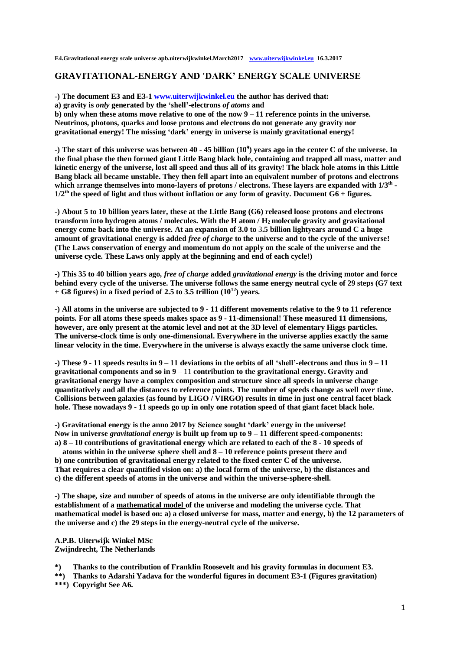**E4.Gravitational energy scale universe apb.uiterwijkwinkel.March2017 www.uiterwijkwinkel.eu 16.3.2017**

# **GRAVITATIONAL-ENERGY AND 'DARK' ENERGY SCALE UNIVERSE**

**-) The document E3 and E3-1 [www.uiterwijkwinkel.eu](https://translate.google.com/translate?hl=nl&prev=_t&sl=nl&tl=en&u=http://www.uiterwijkwinkel.eu) the author has derived that:**

**a) gravity is** *only* **generated by the 'shell'-electrons** *of atoms* **and**

**b) only when these atoms move relative to one of the now 9 – 11 reference points in the universe. Neutrinos, photons, quarks and loose protons and electrons do not generate any gravity nor gravitational energy! The missing 'dark' energy in universe is mainly gravitational energy!**

**-) The start of this universe was between 40 - 45 billion (10<sup>9</sup> ) years ago in the center C of the universe. In the final phase the then formed giant Little Bang black hole, containing and trapped all mass, matter and kinetic energy of the universe, lost all speed and thus all of its gravity! The black hole atoms in this Little Bang black all became unstable. They then fell apart into an equivalent number of protons and electrons which** a**rrange themselves into mono-layers of protons / electrons. These layers are expanded with 1/3th -**  $1/2$ <sup>th</sup> the speed of light and thus without inflation or any form of gravity. Document  $G6 +$  figures.

**-) About 5 to 10 billion years later, these at the Little Bang (G6) released loose protons and electrons transform into hydrogen atoms / molecules. With the H atom / H<sup>2</sup> molecule gravity and gravitational energy come back into the universe. At an expansion of 3.0 to** 3**.5 billion lightyears around C a huge amount of gravitational energy is added** *free of charge* **to the universe and to the cycle of the universe! (The Laws conservation of energy and momentum do not apply on the scale of the universe and the universe cycle. These Laws only apply at the beginning and end of each cycle!)**

**-) This 35 to 40 billion years ago,** *free of charge* **added** *gravitational energy* **is the driving motor and force behind every cycle of the universe. The universe follows the same energy neutral cycle of 29 steps (G7 text + G8 figures) in a fixed period of 2.5 to 3.5 trillion (10<sup>12</sup>) years.**

**-) All atoms in the universe are subjected to 9 - 11 different movements** r**elative to the 9 to 11 reference points. For all atoms these speeds makes space as 9 - 11-dimensional! These measured 11 dimensions, however, are only present at the atomic level and not at the 3D level of elementary Higgs particles. The universe-clock time is only one-dimensional. Everywhere in the universe applies exactly the same linear velocity in the time. Everywhere in the universe is always exactly the same universe clock time.**

**-) These 9 - 11 speeds results in 9 – 11 deviations in the orbits of all 'shell'-electrons and thus in 9 – 11 gravitational components and so in 9** – 11 **contribution to the gravitational energy. Gravity and gravitational energy have a complex composition and structure since all speeds in universe change quantitatively and all the distances to reference points. The number of speeds change as well over time. Collisions between galaxies (as found by LIGO / VIRGO) results in time in just one central facet black hole. These nowadays 9 - 11 speeds go up in only one rotation speed of that giant facet black hole.**

**-) Gravitational energy is the anno 2017 by Science sought 'dark' energy in the universe! Now in universe** *gravitational energy* **is built up from up to 9 – 11 different speed**-**components: a) 8 – 10 contributions of gravitational energy which are related to each of the 8 - 10 speeds of** 

 **atoms within in the universe sphere shell and 8 – 10 reference points present there and b) one contribution of gravitational energy related to the fixed center C of the universe. That requires a clear quantified vision on: a) the local form of the universe, b) the distances and c) the different speeds of atoms in the universe and within the universe-sphere-shell.**

**-) The shape, size and number of speeds of atoms in the universe are only identifiable through the establishment of a mathematical model of the universe and modeling the universe cycle. That mathematical model is based on: a) a closed universe for mass, matter and energy, b) the 12 parameters of the universe and c) the 29 steps in the energy-neutral cycle of the universe.**

**A.P.B. Uiterwijk Winkel MSc Zwijndrecht, The Netherlands**

**\*) Thanks to the contribution of Franklin Roosevelt and his gravity formulas in document E3.**

**\*\*) Thanks to Adarshi Yadava for the wonderful figures in document E3-1 (Figures gravitation) \*\*\*) Copyright See A6.**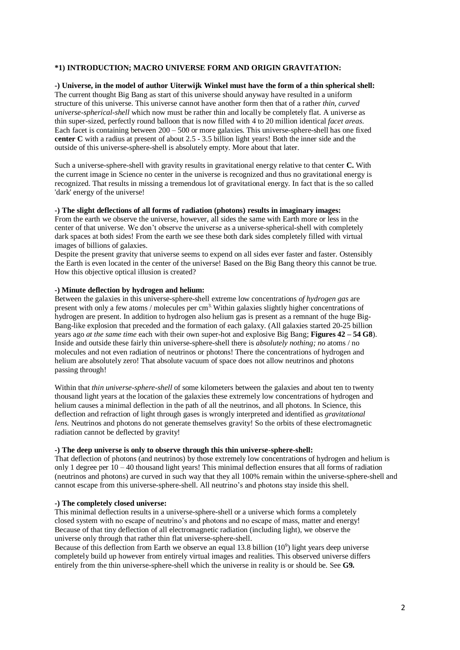## **\*1) INTRODUCTION; MACRO UNIVERSE FORM AND ORIGIN GRAVITATION:**

## **-) Universe, in the model of author Uiterwijk Winkel must have the form of a thin spherical shell:** The current thought Big Bang as start of this universe should anyway have resulted in a uniform structure of this universe. This universe cannot have another form then that of a rather *thin, curved universe-spherical-shell* which now must be rather thin and locally be completely flat. A universe as thin super-sized, perfectly round balloon that is now filled with 4 to 20 million identical *facet areas*. Each facet is containing between 200 – 500 or more galaxies. This universe-sphere-shell has one fixed **center C** with a radius at present of about 2.5 - 3.5 billion light years! Both the inner side and the outside of this universe-sphere-shell is absolutely empty. More about that later.

Such a universe-sphere-shell with gravity results in gravitational energy relative to that center **C.** With the current image in Science no center in the universe is recognized and thus no gravitational energy is recognized. That results in missing a tremendous lot of gravitational energy. In fact that is the so called 'dark' energy of the universe!

#### **-) The slight deflections of all forms of radiation (photons) results in imaginary images:**

From the earth we observe the universe, however, all sides the same with Earth more or less in the center of that universe. We don't observe the universe as a universe-spherical-shell with completely dark spaces at both sides! From the earth we see these both dark sides completely filled with virtual images of billions of galaxies.

Despite the present gravity that universe seems to expend on all sides ever faster and faster. Ostensibly the Earth is even located in the center of the universe! Based on the Big Bang theory this cannot be true. How this objective optical illusion is created?

#### **-) Minute deflection by hydrogen and helium:**

Between the galaxies in this universe-sphere-shell extreme low concentrations *of hydrogen gas* are present with only a few atoms / molecules per cm3. Within galaxies slightly higher concentrations of hydrogen are present. In addition to hydrogen also helium gas is present as a remnant of the huge Big-Bang-like explosion that preceded and the formation of each galaxy. (All galaxies started 20-25 billion years ago *at the same time* each with their own super-hot and explosive Big Bang; **Figures 42 – 54 G8**). Inside and outside these fairly thin universe-sphere-shell there is *absolutely nothing; no* atoms / no molecules and not even radiation of neutrinos or photons! There the concentrations of hydrogen and helium are absolutely zero! That absolute vacuum of space does not allow neutrinos and photons passing through!

Within that *thin universe-sphere-shell* of some kilometers between the galaxies and about ten to twenty thousand light years at the location of the galaxies these extremely low concentrations of hydrogen and helium causes a minimal deflection in the path of all the neutrinos, and all photons. In Science, this deflection and refraction of light through gases is wrongly interpreted and identified as *gravitational lens.* Neutrinos and photons do not generate themselves gravity! So the orbits of these electromagnetic radiation cannot be deflected by gravity!

#### **-) The deep universe is only to observe through this thin universe-sphere-shell:**

That deflection of photons (and neutrinos) by those extremely low concentrations of hydrogen and helium is only 1 degree per  $10 - 40$  thousand light years! This minimal deflection ensures that all forms of radiation (neutrinos and photons) are curved in such way that they all 100% remain within the universe-sphere-shell and cannot escape from this universe-sphere-shell. All neutrino's and photons stay inside this shell.

#### **-) The completely closed universe:**

This minimal deflection results in a universe-sphere-shell or a universe which forms a completely closed system with no escape of neutrino's and photons and no escape of mass, matter and energy! Because of that tiny deflection of all electromagnetic radiation (including light), we observe the universe only through that rather thin flat universe-sphere-shell.

Because of this deflection from Earth we observe an equal  $13.8$  billion  $(10^9)$  light years deep universe completely build up however from entirely virtual images and realities. This observed universe differs entirely from the thin universe-sphere-shell which the universe in reality is or should be. See **G9.**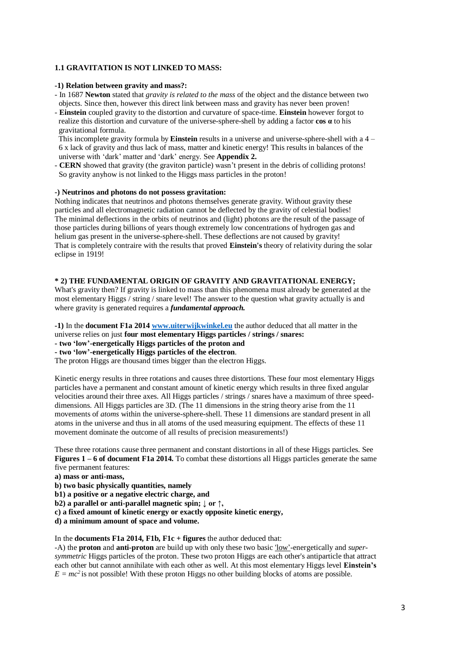## **1.1 GRAVITATION IS NOT LINKED TO MASS:**

#### **-1) Relation between gravity and mass?:**

- In 1687 **Newton** stated that *gravity is related to the mass* of the object and the distance between two objects. Since then, however this direct link between mass and gravity has never been proven!
- **Einstein** coupled gravity to the distortion and curvature of space-time. **Einstein** however forgot to realize this distortion and curvature of the universe-sphere-shell by adding a factor **cos α** to his gravitational formula.

 This incomplete gravity formula by **Einstein** results in a universe and universe-sphere-shell with a 4 – 6 x lack of gravity and thus lack of mass, matter and kinetic energy! This results in balances of the universe with 'dark' matter and 'dark' energy. See **Appendix 2.**

- **CERN** showed that gravity (the graviton particle) wasn't present in the debris of colliding protons! So gravity anyhow is not linked to the Higgs mass particles in the proton!

#### **-) Neutrinos and photons do not possess gravitation:**

Nothing indicates that neutrinos and photons themselves generate gravity. Without gravity these particles and all electromagnetic radiation cannot be deflected by the gravity of celestial bodies! The minimal deflections in the orbits of neutrinos and (light) photons are the result of the passage of those particles during billions of years though extremely low concentrations of hydrogen gas and helium gas present in the universe-sphere-shell. These deflections are not caused by gravity! That is completely contraire with the results that proved **Einstein's** theory of relativity during the solar eclipse in 1919!

## **\* 2) THE FUNDAMENTAL ORIGIN OF GRAVITY AND GRAVITATIONAL ENERGY;**

What's gravity then? If gravity is linked to mass than this phenomena must already be generated at the most elementary Higgs / string / snare level! The answer to the question what gravity actually is and where gravity is generated requires a *fundamental approach.*

**-1)** In the **document F1a 201[4 www.uiterwijkwinkel.eu](http://www.uiterwijkwinkel.eu/)** the author deduced that all matter in the universe relies on just **four most elementary Higgs particles / strings / snares:** 

**- two 'low'-energetically Higgs particles of the proton and** 

## **- two 'low'-energetically Higgs particles of the electron**.

The proton Higgs are thousand times bigger than the electron Higgs.

Kinetic energy results in three rotations and causes three distortions. These four most elementary Higgs particles have a permanent and constant amount of kinetic energy which results in three fixed angular velocities around their three axes. All Higgs particles / strings / snares have a maximum of three speeddimensions. All Higgs particles are 3D. (The 11 dimensions in the string theory arise from the 11 movements of *atoms* within the universe-sphere-shell. These 11 dimensions are standard present in all atoms in the universe and thus in all atoms of the used measuring equipment. The effects of these 11 movement dominate the outcome of all results of precision measurements!)

These three rotations cause three permanent and constant distortions in all of these Higgs particles. See **Figures 1 – 6 of document F1a 2014.** To combat these distortions all Higgs particles generate the same five permanent features:

- **a) mass or anti-mass,**
- **b) two basic physically quantities, namely**
- **b1) a positive or a negative electric charge, and**
- **b2) a parallel or anti-parallel magnetic spin; ↓ or ↑,**

**c) a fixed amount of kinetic energy or exactly opposite kinetic energy,**

**d) a minimum amount of space and volume.**

In the **documents F1a 2014, F1b, F1c + figures** the author deduced that:

-A) the **proton** and **anti-proton** are build up with only these two basic 'low'-energetically and *supersymmetric* Higgs particles of the proton. These two proton Higgs are each other's antiparticle that attract each other but cannot annihilate with each other as well. At this most elementary Higgs level **Einstein's**  $E = mc^2$  is not possible! With these proton Higgs no other building blocks of atoms are possible.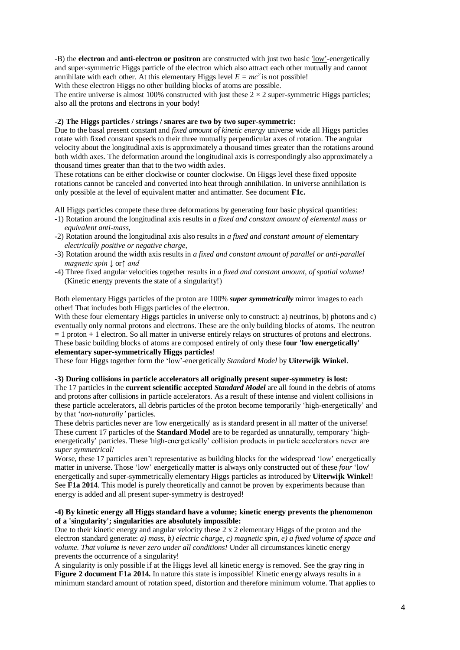-B) the **electron** and **anti-electron or positron** are constructed with just two basic 'low'-energetically and super-symmetric Higgs particle of the electron which also attract each other mutually and cannot annihilate with each other. At this elementary Higgs level  $E = mc^2$  is not possible!

With these electron Higgs no other building blocks of atoms are possible.

The entire universe is almost 100% constructed with just these  $2 \times 2$  super-symmetric Higgs particles; also all the protons and electrons in your body!

## **-2) The Higgs particles / strings / snares are two by two super-symmetric:**

Due to the basal present constant and *fixed amount of kinetic energy* universe wide all Higgs particles rotate with fixed constant speeds to their three mutually perpendicular axes of rotation. The angular velocity about the longitudinal axis is approximately a thousand times greater than the rotations around both width axes. The deformation around the longitudinal axis is correspondingly also approximately a thousand times greater than that to the two width axles.

These rotations can be either clockwise or counter clockwise. On Higgs level these fixed opposite rotations cannot be canceled and converted into heat through annihilation. In universe annihilation is only possible at the level of equivalent matter and antimatter. See document **F1c.**

All Higgs particles compete these three deformations by generating four basic physical quantities:

- -1) Rotation around the longitudinal axis results in *a fixed and constant amount of elemental mass or equivalent anti-mass,*
- -2) Rotation around the longitudinal axis also results in *a fixed and constant amount of* elementary *electrically positive or negative charge,*
- -3) Rotation around the width axis results in *a fixed and constant amount of parallel or anti-parallel magnetic spin ↓* or*↑ and*
- -4) Three fixed angular velocities together results in *a fixed and constant amount, of spatial volume!* (Kinetic energy prevents the state of a singularity!)

Both elementary Higgs particles of the proton are 100% *super symmetrically* mirror images to each other! That includes both Higgs particles of the electron.

With these four elementary Higgs particles in universe only to construct: a) neutrinos, b) photons and c) eventually only normal protons and electrons. These are the only building blocks of atoms. The neutron  $= 1$  proton  $+ 1$  electron. So all matter in universe entirely relays on structures of protons and electrons. These basic building blocks of atoms are composed entirely of only these **four 'low energetically' elementary super-symmetrically Higgs particles**!

These four Higgs together form the 'low'-energetically *Standard Model* by **Uiterwijk Winkel**.

#### **-3) During collisions in particle accelerators all originally present super-symmetry is lost:**

The 17 particles in the **current scientific accepted** *Standard Model* are all found in the debris of atoms and protons after collisions in particle accelerators. As a result of these intense and violent collisions in these particle accelerators, all debris particles of the proton become temporarily 'high-energetically' and by that '*non-naturally'* particles.

These debris particles never are 'low energetically' as is standard present in all matter of the universe! These current 17 particles of the **Standard Model** are to be regarded as unnaturally, temporary 'highenergetically' particles. These 'high-energetically' collision products in particle accelerators never are *super symmetrical!*

Worse, these 17 particles aren't representative as building blocks for the widespread 'low' energetically matter in universe. Those 'low' energetically matter is always only constructed out of these *four* 'low' energetically and super-symmetrically elementary Higgs particles as introduced by **Uiterwijk Winkel**! See **F1a 2014**. This model is purely theoretically and cannot be proven by experiments because than energy is added and all present super-symmetry is destroyed!

## **-4) By kinetic energy all Higgs standard have a volume; kinetic energy prevents the phenomenon of a 'singularity'; singularities are absolutely impossible:**

Due to their kinetic energy and angular velocity these 2 x 2 elementary Higgs of the proton and the electron standard generate: *a) mass, b) electric charge, c) magnetic spin, e) a fixed volume of space and volume. That volume is never zero under all conditions!* Under all circumstances kinetic energy prevents the occurrence of a singularity!

A singularity is only possible if at the Higgs level all kinetic energy is removed. See the gray ring in **Figure 2 document F1a 2014.** In nature this state is impossible! Kinetic energy always results in a minimum standard amount of rotation speed, distortion and therefore minimum volume. That applies to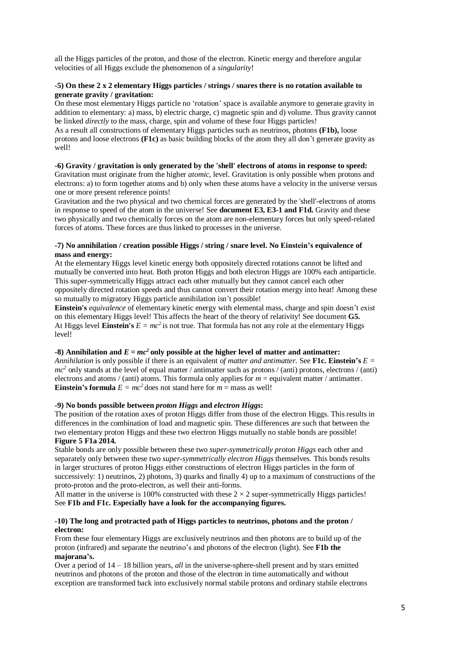all the Higgs particles of the proton, and those of the electron. Kinetic energy and therefore angular velocities of all Higgs exclude the phenomenon of a *singularity*!

## **-5) On these 2 x 2 elementary Higgs particles / strings / snares there is no rotation available to generate gravity / gravitation:**

On these most elementary Higgs particle no 'rotation' space is available anymore to generate gravity in addition to elementary: a) mass, b) electric charge, c) magnetic spin and d) volume. Thus gravity cannot be linked *directly* to the mass, charge, spin and volume of these four Higgs particles!

As a result all constructions of elementary Higgs particles such as neutrinos, photons **(F1b),** loose protons and loose electrons **(F1c)** as basic building blocks of the atom they all don't generate gravity as well!

# **-6) Gravity / gravitation is only generated by the 'shell' electrons of atoms in response to speed:**

Gravitation must originate from the higher *atomic,* level. Gravitation is only possible when protons and electrons: a) to form together atoms and b) only when these atoms have a velocity in the universe versus one or more present reference points!

Gravitation and the two physical and two chemical forces are generated by the 'shell'-electrons of atoms in response to speed of the atom in the universe! See **document E3, E3-1 and F1d.** Gravity and these two physically and two chemically forces on the atom are non-elementary forces but only speed-related forces of atoms. These forces are thus linked to processes in the universe.

#### **-7) No annihilation / creation possible Higgs / string / snare level. No Einstein's equivalence of mass and energy:**

At the elementary Higgs level kinetic energy both oppositely directed rotations cannot be lifted and mutually be converted into heat. Both proton Higgs and both electron Higgs are 100% each antiparticle. This super-symmetrically Higgs attract each other mutually but they cannot cancel each other oppositely directed rotation speeds and thus cannot convert their rotation energy into heat! Among these so mutually to migratory Higgs particle annihilation isn't possible!

**Einstein's** *equivalence* of elementary kinetic energy with elemental mass, charge and spin doesn't exist on this elementary Higgs level! This affects the heart of the theory of relativity! See document **G5.** At Higgs level **Einstein's**  $E = mc^2$  is not true. That formula has not any role at the elementary Higgs level!

## **-8) Annihilation and** *E = mc<sup>2</sup>* **only possible at the higher level of matter and antimatter:**

*Annihilation* is only possible if there is an equivalent *of matter and antimatter.* See **F1c. Einstein's** *E =*   $mc<sup>2</sup>$  only stands at the level of equal matter / antimatter such as protons / (anti) protons, electrons / (anti) electrons and atoms / (anti) atoms. This formula only applies for *m* = equivalent matter / antimatter. **Einstein's formula**  $E = mc^2$  does not stand here for  $m =$  mass as well!

## **-9) No bonds possible between** *proton Higgs* **and** *electron Higgs***:**

The position of the rotation axes of proton Higgs differ from those of the electron Higgs. This results in differences in the combination of load and magnetic spin. These differences are such that between the two elementary proton Higgs and these two electron Higgs mutually no stable bonds are possible! **Figure 5 F1a 2014.**

Stable bonds are only possible between these two *super-symmetrically proton Higgs* each other and separately only between these two *super-symmetrically electron Higgs* themselves. This bonds results in larger structures of proton Higgs either constructions of electron Higgs particles in the form of successively: 1) neutrinos, 2) photons, 3) quarks and finally 4) up to a maximum of constructions of the proto-proton and the proto-electron, as well their anti-forms.

All matter in the universe is 100% constructed with these  $2 \times 2$  super-symmetrically Higgs particles! See **F1b and F1c. Especially have a look for the accompanying figures.**

#### **-10) The long and protracted path of Higgs particles to neutrinos, photons and the proton / electron:**

From these four elementary Higgs are exclusively neutrinos and then photons are to build up of the proton (infrared) and separate the neutrino's and photons of the electron (light). See **F1b the majorana's.**

Over a period of 14 – 18 billion years, *all* in the universe-sphere-shell present and by stars emitted neutrinos and photons of the proton and those of the electron in time automatically and without exception are transformed back into exclusively normal stabile protons and ordinary stabile electrons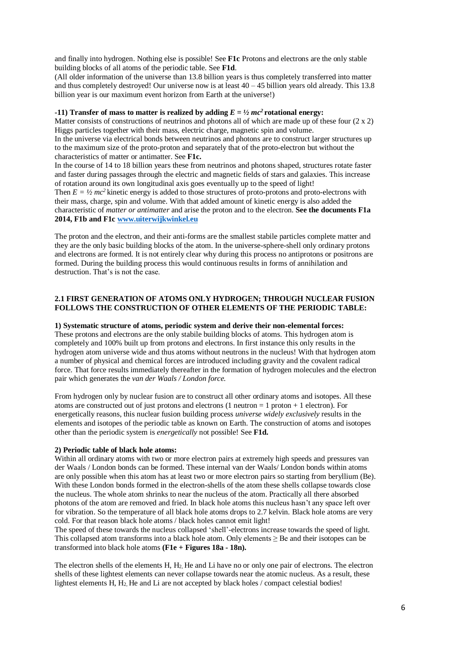and finally into hydrogen. Nothing else is possible! See **F1c** Protons and electrons are the only stable building blocks of all atoms of the periodic table. See **F1d**.

(All older information of the universe than 13.8 billion years is thus completely transferred into matter and thus completely destroyed! Our universe now is at least  $40 - 45$  billion years old already. This 13.8 billion year is our maximum event horizon from Earth at the universe!)

#### **-11)** Transfer of mass to matter is realized by adding  $E = \frac{1}{2}mc^2$  rotational energy:

Matter consists of constructions of neutrinos and photons all of which are made up of these four  $(2 \times 2)$ Higgs particles together with their mass, electric charge, magnetic spin and volume.

In the universe via electrical bonds between neutrinos and photons are to construct larger structures up to the maximum size of the proto-proton and separately that of the proto-electron but without the characteristics of matter or antimatter. See **F1c.**

In the course of 14 to 18 billion years these from neutrinos and photons shaped, structures rotate faster and faster during passages through the electric and magnetic fields of stars and galaxies. This increase of rotation around its own longitudinal axis goes eventually up to the speed of light!

Then  $E = \frac{1}{2}mc^2$  kinetic energy is added to those structures of proto-protons and proto-electrons with their mass, charge, spin and volume. With that added amount of kinetic energy is also added the characteristic of *matter or antimatter* and arise the proton and to the electron. **See the documents F1a 2014, F1b and F1[c www.uiterwijkwinkel.eu](http://www.uiterwijkwinkel.eu/)**

The proton and the electron, and their anti-forms are the smallest stabile particles complete matter and they are the only basic building blocks of the atom. In the universe-sphere-shell only ordinary protons and electrons are formed. It is not entirely clear why during this process no antiprotons or positrons are formed. During the building process this would continuous results in forms of annihilation and destruction. That's is not the case.

## **2.1 FIRST GENERATION OF ATOMS ONLY HYDROGEN; THROUGH NUCLEAR FUSION FOLLOWS THE CONSTRUCTION OF OTHER ELEMENTS OF THE PERIODIC TABLE:**

# **1) Systematic structure of atoms, periodic system and derive their non-elemental forces:**

These protons and electrons are the only stabile building blocks of atoms. This hydrogen atom is completely and 100% built up from protons and electrons. In first instance this only results in the hydrogen atom universe wide and thus atoms without neutrons in the nucleus! With that hydrogen atom a number of physical and chemical forces are introduced including gravity and the covalent radical force. That force results immediately thereafter in the formation of hydrogen molecules and the electron pair which generates the *van der Waals / London force.*

From hydrogen only by nuclear fusion are to construct all other ordinary atoms and isotopes. All these atoms are constructed out of just protons and electrons (1 neutron  $= 1$  proton  $+ 1$  electron). For energetically reasons, this nuclear fusion building process *universe widely exclusively* results in the elements and isotopes of the periodic table as known on Earth. The construction of atoms and isotopes other than the periodic system is *energetically* not possible! See **F1d.**

#### **2) Periodic table of black hole atoms:**

Within all ordinary atoms with two or more electron pairs at extremely high speeds and pressures van der Waals / London bonds can be formed. These internal van der Waals/ London bonds within atoms are only possible when this atom has at least two or more electron pairs so starting from beryllium (Be). With these London bonds formed in the electron-shells of the atom these shells collapse towards close the nucleus. The whole atom shrinks to near the nucleus of the atom. Practically all there absorbed photons of the atom are removed and fried. In black hole atoms this nucleus hasn't any space left over for vibration. So the temperature of all black hole atoms drops to 2.7 kelvin. Black hole atoms are very cold. For that reason black hole atoms / black holes cannot emit light!

The speed of these towards the nucleus collapsed 'shell'-electrons increase towards the speed of light. This collapsed atom transforms into a black hole atom. Only elements  $\geq$  Be and their isotopes can be transformed into black hole atoms **(F1e + Figures 18a - 18n).**

The electron shells of the elements H,  $H_2$  He and Li have no or only one pair of electrons. The electron shells of these lightest elements can never collapse towards near the atomic nucleus. As a result, these lightest elements H,  $H_2$ . He and Li are not accepted by black holes / compact celestial bodies!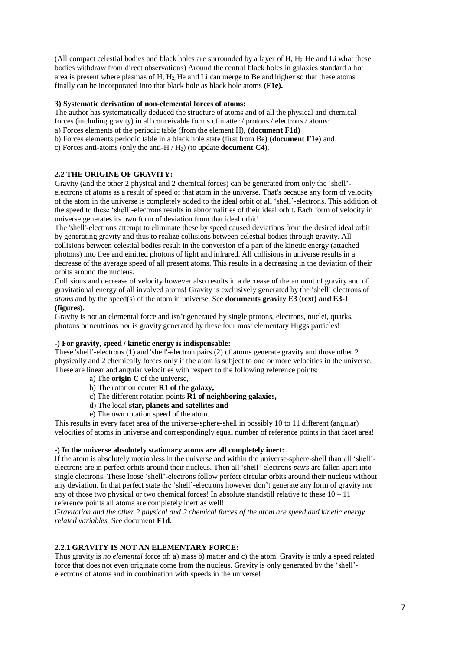(All compact celestial bodies and black holes are surrounded by a layer of H, H<sub>2</sub>. He and Li what these bodies withdraw from direct observations) Around the central black holes in galaxies standard a hot area is present where plasmas of H,  $H_2$ . He and Li can merge to Be and higher so that these atoms finally can be incorporated into that black hole as black hole atoms **(F1e).**

## **3) Systematic derivation of non-elemental forces of atoms:**

The author has systematically deduced the structure of atoms and of all the physical and chemical forces (including gravity) in all conceivable forms of matter / protons / electrons / atoms:

a) Forces elements of the periodic table (from the element H), **(document F1d)**

b) Forces elements periodic table in a black hole state (first from Be) **(document F1e)** and

c) Forces anti-atoms (only the anti-H / H2) (to update **document C4).**

## **2.2 THE ORIGINE OF GRAVITY:**

Gravity (and the other 2 physical and 2 chemical forces) can be generated from only the 'shell' electrons of atoms as a result of speed of that atom in the universe. That's because any form of velocity of the atom in the universe is completely added to the ideal orbit of all 'shell'-electrons. This addition of the speed to these 'shell'-electrons results in abnormalities of their ideal orbit. Each form of velocity in universe generates its own form of deviation from that ideal orbit!

The 'shell'-electrons attempt to eliminate these by speed caused deviations from the desired ideal orbit by generating gravity and thus to realize collisions between celestial bodies through gravity. All collisions between celestial bodies result in the conversion of a part of the kinetic energy (attached photons) into free and emitted photons of light and infrared. All collisions in universe results in a decrease of the average speed of all present atoms. This results in a decreasing in the deviation of their orbits around the nucleus.

Collisions and decrease of velocity however also results in a decrease of the amount of gravity and of gravitational energy of all involved atoms! Gravity is exclusively generated by the 'shell' electrons of *atoms* and by the speed(s) of the atom in universe. See **documents gravity E3 (text) and E3-1 (figures).**

Gravity is not an elemental force and isn't generated by single protons, electrons, nuclei, quarks, photons or neutrinos nor is gravity generated by these four most elementary Higgs particles!

#### **-) For gravity, speed / kinetic energy is indispensable:**

These 'shell'-electrons (1) and 'shell'-electron pairs (2) of atoms generate gravity and those other 2 physically and 2 chemically forces only if the atom is subject to one or more velocities in the universe. These are linear and angular velocities with respect to the following reference points:

- a) The **origin C** of the universe,
- b) The rotation center **R1 of the galaxy,**
- c) The different rotation points **R1 of neighboring galaxies,**
- d) The local **star, planets and satellites and**
- e) The own rotation speed of the atom.

This results in every facet area of the universe-sphere-shell in possibly 10 to 11 different (angular) velocities of atoms in universe and correspondingly equal number of reference points in that facet area!

#### **-) In the universe absolutely stationary atoms are all completely inert:**

If the atom is absolutely motionless in the universe and within the universe-sphere-shell than all 'shell' electrons are in perfect orbits around their nucleus. Then all 'shell'-electrons *pairs* are fallen apart into single electrons. These loose 'shell'-electrons follow perfect circular orbits around their nucleus without any deviation. In that perfect state the 'shell'-electrons however don't generate any form of gravity nor any of those two physical or two chemical forces! In absolute standstill relative to these  $10 - 11$ reference points all atoms are completely inert as well!

*Gravitation and the other 2 physical and 2 chemical forces of the atom are speed and kinetic energy related variables.* See document **F1d.**

# **2.2.1 GRAVITY IS NOT AN ELEMENTARY FORCE:**

Thus gravity is *no elemental* force of: a) mass b) matter and c) the atom. Gravity is only a speed related force that does not even originate come from the nucleus. Gravity is only generated by the 'shell' electrons of atoms and in combination with speeds in the universe!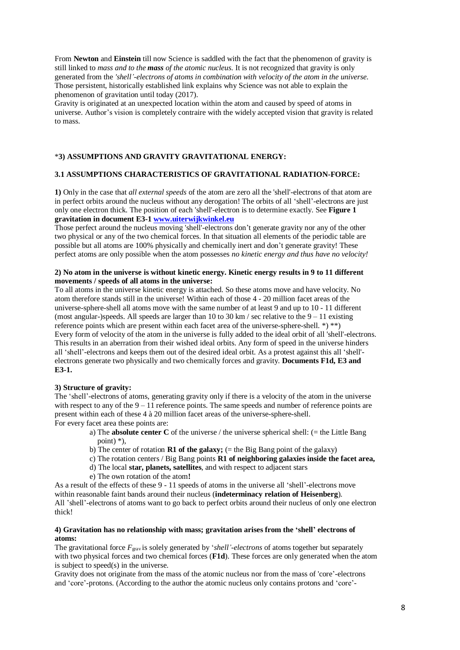From **Newton** and **Einstein** till now Science is saddled with the fact that the phenomenon of gravity is still linked to *mass and to the mass of the atomic nucleus.* It is not recognized that gravity is only generated from the *'shell'-electrons of atoms in combination with velocity of the atom in the universe.* Those persistent, historically established link explains why Science was not able to explain the phenomenon of gravitation until today (2017).

Gravity is originated at an unexpected location within the atom and caused by speed of atoms in universe. Author's vision is completely contraire with the widely accepted vision that gravity is related to mass.

#### \***3) ASSUMPTIONS AND GRAVITY GRAVITATIONAL ENERGY:**

## **3.1 ASSUMPTIONS CHARACTERISTICS OF GRAVITATIONAL RADIATION-FORCE:**

**1)** Only in the case that *all external speeds* of the atom are zero all the 'shell'-electrons of that atom are in perfect orbits around the nucleus without any derogation! The orbits of all 'shell'-electrons are just only one electron thick. The position of each 'shell'-electron is to determine exactly. See **Figure 1 gravitation in document E3-1 [www.uiterwijkwinkel.eu](https://translate.google.com/translate?hl=nl&prev=_t&sl=nl&tl=en&u=http://www.uiterwijkwinkel.eu)**

Those perfect around the nucleus moving 'shell'-electrons don't generate gravity nor any of the other two physical or any of the two chemical forces. In that situation all elements of the periodic table are possible but all atoms are 100% physically and chemically inert and don't generate gravity! These perfect atoms are only possible when the atom possesses *no kinetic energy and thus have no velocity!*

#### **2) No atom in the universe is without kinetic energy. Kinetic energy results in 9 to 11 different movements / speeds of all atoms in the universe:**

To all atoms in the universe kinetic energy is attached. So these atoms move and have velocity. No atom therefore stands still in the universe! Within each of those 4 - 20 million facet areas of the universe-sphere-shell all atoms move with the same number of at least 9 and up to 10 - 11 different (most angular-)speeds. All speeds are larger than 10 to 30 km / sec relative to the  $9 - 11$  existing reference points which are present within each facet area of the universe-sphere-shell. \*) \*\*) Every form of velocity of the atom in the universe is fully added to the ideal orbit of all 'shell'-electrons. This results in an aberration from their wished ideal orbits. Any form of speed in the universe hinders all 'shell'-electrons and keeps them out of the desired ideal orbit. As a protest against this all 'shell' electrons generate two physically and two chemically forces and gravity. **Documents F1d, E3 and E3-1.**

#### **3) Structure of gravity:**

The 'shell'-electrons of atoms, generating gravity only if there is a velocity of the atom in the universe with respect to any of the  $9 - 11$  reference points. The same speeds and number of reference points are present within each of these 4 à 20 million facet areas of the universe-sphere-shell. For every facet area these points are:

- a) The **absolute center C** of the universe / the universe spherical shell: (= the Little Bang point) \*),
- b) The center of rotation **R1 of the galaxy;** (= the Big Bang point of the galaxy)
- c) The rotation centers / Big Bang points **R1 of neighboring galaxies inside the facet area,**
- d) The local **star, planets, satellites**, and with respect to adjacent stars
- e) The own rotation of the atom**!**

As a result of the effects of these 9 - 11 speeds of atoms in the universe all 'shell'-electrons move within reasonable faint bands around their nucleus (**indeterminacy relation of Heisenberg**). All 'shell'-electrons of atoms want to go back to perfect orbits around their nucleus of only one electron thick!

#### **4) Gravitation has no relationship with mass; gravitation arises from the 'shell' electrons of atoms:**

The gravitational force  $F_{\text{grav}}$  is solely generated by '*shell'-electrons* of atoms together but separately with two physical forces and two chemical forces (**F1d**). These forces are only generated when the atom is subject to speed(s) in the universe.

Gravity does not originate from the mass of the atomic nucleus nor from the mass of 'core'-electrons and 'core'-protons. (According to the author the atomic nucleus only contains protons and 'core'-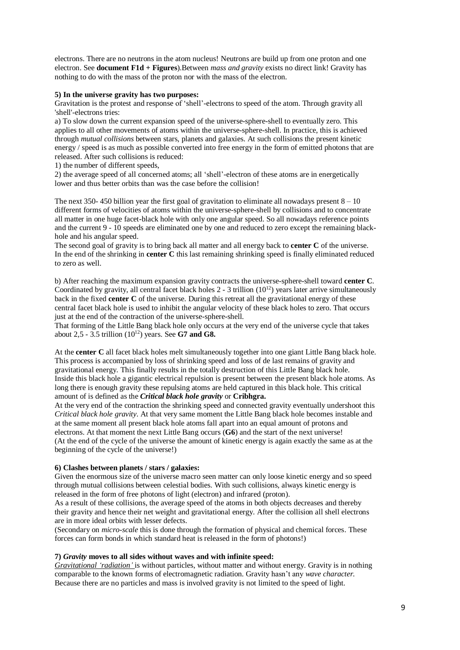electrons. There are no neutrons in the atom nucleus! Neutrons are build up from one proton and one electron. See **document F1d + Figures**).Between *mass and gravity* exists no direct link! Gravity has nothing to do with the mass of the proton nor with the mass of the electron.

#### **5) In the universe gravity has two purposes:**

Gravitation is the protest and response of 'shell'-electrons to speed of the atom. Through gravity all 'shell'-electrons tries:

a) To slow down the current expansion speed of the universe-sphere-shell to eventually zero. This applies to all other movements of atoms within the universe-sphere-shell. In practice, this is achieved through *mutual collisions* between stars, planets and galaxies. At such collisions the present kinetic energy / speed is as much as possible converted into free energy in the form of emitted photons that are released. After such collisions is reduced:

1) the number of different speeds,

2) the average speed of all concerned atoms; all 'shell'-electron of these atoms are in energetically lower and thus better orbits than was the case before the collision!

The next 350- 450 billion year the first goal of gravitation to eliminate all nowadays present  $8 - 10$ different forms of velocities of atoms within the universe-sphere-shell by collisions and to concentrate all matter in one huge facet-black hole with only one angular speed. So all nowadays reference points and the current 9 - 10 speeds are eliminated one by one and reduced to zero except the remaining blackhole and his angular speed.

The second goal of gravity is to bring back all matter and all energy back to **center C** of the universe. In the end of the shrinking in **center C** this last remaining shrinking speed is finally eliminated reduced to zero as well.

b) After reaching the maximum expansion gravity contracts the universe-sphere-shell toward **center C**. Coordinated by gravity, all central facet black holes  $2 - 3$  trillion ( $10^{12}$ ) years later arrive simultaneously back in the fixed **center C** of the universe. During this retreat all the gravitational energy of these central facet black hole is used to inhibit the angular velocity of these black holes to zero. That occurs just at the end of the contraction of the universe-sphere-shell.

That forming of the Little Bang black hole only occurs at the very end of the universe cycle that takes about 2,5 - 3.5 trillion (10<sup>12</sup>) years. See **G7 and G8.**

At the **center C** all facet black holes melt simultaneously together into one giant Little Bang black hole. This process is accompanied by loss of shrinking speed and loss of de last remains of gravity and gravitational energy. This finally results in the totally destruction of this Little Bang black hole. Inside this black hole a gigantic electrical repulsion is present between the present black hole atoms. As long there is enough gravity these repulsing atoms are held captured in this black hole. This critical amount of is defined as the *Critical black hole gravity* or **Cribhgra.**

At the very end of the contraction the shrinking speed and connected gravity eventually undershoot this *Critical black hole gravity*. At that very same moment the Little Bang black hole becomes instable and at the same moment all present black hole atoms fall apart into an equal amount of protons and electrons. At that moment the next Little Bang occurs (**G6**) and the start of the next universe! (At the end of the cycle of the universe the amount of kinetic energy is again exactly the same as at the beginning of the cycle of the universe!)

## **6) Clashes between planets / stars / galaxies:**

Given the enormous size of the universe macro seen matter can only loose kinetic energy and so speed through mutual collisions between celestial bodies. With such collisions, always kinetic energy is released in the form of free photons of light (electron) and infrared (proton).

As a result of these collisions, the average speed of the atoms in both objects decreases and thereby their gravity and hence their net weight and gravitational energy. After the collision all shell electrons are in more ideal orbits with lesser defects.

(Secondary on *micro-scale* this is done through the formation of physical and chemical forces. These forces can form bonds in which standard heat is released in the form of photons!)

## **7)** *Gravity* **moves to all sides without waves and with infinite speed:**

*Gravitational 'radiation'* is without particles, without matter and without energy. Gravity is in nothing comparable to the known forms of electromagnetic radiation. Gravity hasn't any *wave character.* Because there are no particles and mass is involved gravity is not limited to the speed of light.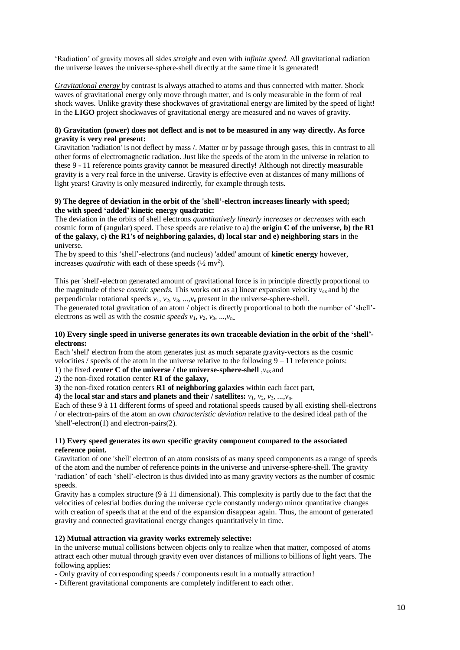'Radiation' of gravity moves all sides *straight* and even with *infinite speed.* All gravitational radiation the universe leaves the universe-sphere-shell directly at the same time it is generated!

*Gravitational energy* by contrast is always attached to atoms and thus connected with matter. Shock waves of gravitational energy only move through matter, and is only measurable in the form of real shock waves. Unlike gravity these shockwaves of gravitational energy are limited by the speed of light! In the **LIGO** project shockwaves of gravitational energy are measured and no waves of gravity.

## **8) Gravitation (power) does not deflect and is not to be measured in any way directly. As force gravity is very real present:**

Gravitation 'radiation' is not deflect by mass /. Matter or by passage through gases, this in contrast to all other forms of electromagnetic radiation. Just like the speeds of the atom in the universe in relation to these 9 - 11 reference points gravity cannot be measured directly! Although not directly measurable gravity is a very real force in the universe. Gravity is effective even at distances of many millions of light years! Gravity is only measured indirectly, for example through tests.

## **9) The degree of deviation in the orbit of the 'shell'-electron increases linearly with speed; the with speed 'added' kinetic energy quadratic:**

The deviation in the orbits of shell electrons *quantitatively linearly increases or decreases* with each cosmic form of (angular) speed. These speeds are relative to a) the **origin C of the universe, b) the R1 of the galaxy, c) the R1's of neighboring galaxies, d) local star and e) neighboring stars** in the universe.

The by speed to this 'shell'-electrons (and nucleus) 'added' amount of **kinetic energy** however, increases *quadratic* with each of these speeds  $(\frac{1}{2}mv^2)$ .

This per 'shell'-electron generated amount of gravitational force is in principle directly proportional to the magnitude of these *cosmic speeds.* This works out as a) linear expansion velocity *v*ex and b) the perpendicular rotational speeds  $v_1$ ,  $v_2$ ,  $v_3$ , ..., $v_n$  present in the universe-sphere-shell.

The generated total gravitation of an atom / object is directly proportional to both the number of 'shell' electrons as well as with the *cosmic speeds*  $v_1$ ,  $v_2$ ,  $v_3$ , ..., $v_{n}$ ...

## **10) Every single speed in universe generates its own traceable deviation in the orbit of the 'shell' electrons:**

Each 'shell' electron from the atom generates just as much separate gravity-vectors as the cosmic velocities / speeds of the atom in the universe relative to the following  $9 - 11$  reference points:

1) the fixed **center C of the universe / the universe-sphere-shell** ,*v*ex and

2) the non-fixed rotation center **R1 of the galaxy,**

**3)** the non-fixed rotation centers **R1 of neighboring galaxies** within each facet part,

**4)** the **local star and stars and planets and their / satellites:** *v*1, *v*2, *v*3, ...,*v*n.

Each of these 9 à 11 different forms of speed and rotational speeds caused by all existing shell-electrons / or electron-pairs of the atom an *own characteristic deviation* relative to the desired ideal path of the 'shell'-electron(1) and electron-pairs(2).

## **11) Every speed generates its own specific gravity component compared to the associated reference point.**

Gravitation of one 'shell' electron of an atom consists of as many speed components as a range of speeds of the atom and the number of reference points in the universe and universe-sphere-shell. The gravity 'radiation' of each 'shell'-electron is thus divided into as many gravity vectors as the number of cosmic speeds.

Gravity has a complex structure (9 à 11 dimensional). This complexity is partly due to the fact that the velocities of celestial bodies during the universe cycle constantly undergo minor quantitative changes with creation of speeds that at the end of the expansion disappear again. Thus, the amount of generated gravity and connected gravitational energy changes quantitatively in time.

## **12) Mutual attraction via gravity works extremely selective:**

In the universe mutual collisions between objects only to realize when that matter, composed of atoms attract each other mutual through gravity even over distances of millions to billions of light years. The following applies:

- Only gravity of corresponding speeds / components result in a mutually attraction!

- Different gravitational components are completely indifferent to each other.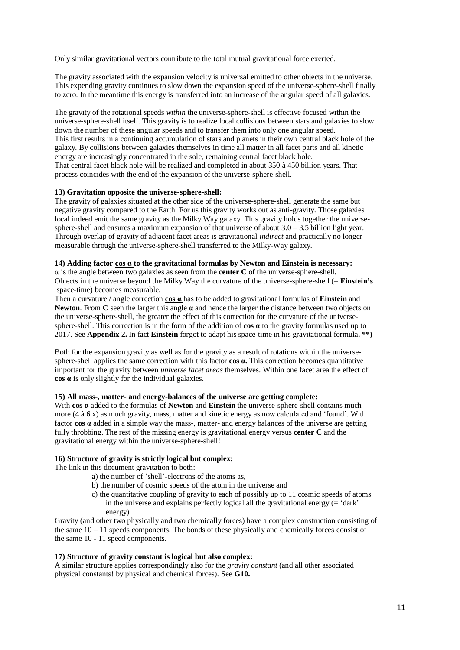Only similar gravitational vectors contribute to the total mutual gravitational force exerted.

The gravity associated with the expansion velocity is universal emitted to other objects in the universe. This expending gravity continues to slow down the expansion speed of the universe-sphere-shell finally to zero. In the meantime this energy is transferred into an increase of the angular speed of all galaxies.

The gravity of the rotational speeds *within* the universe-sphere-shell is effective focused within the universe-sphere-shell itself. This gravity is to realize local collisions between stars and galaxies to slow down the number of these angular speeds and to transfer them into only one angular speed. This first results in a continuing accumulation of stars and planets in their own central black hole of the galaxy. By collisions between galaxies themselves in time all matter in all facet parts and all kinetic energy are increasingly concentrated in the sole, remaining central facet black hole. That central facet black hole will be realized and completed in about 350 à 450 billion years. That process coincides with the end of the expansion of the universe-sphere-shell.

#### **13) Gravitation opposite the universe-sphere-shell:**

The gravity of galaxies situated at the other side of the universe-sphere-shell generate the same but negative gravity compared to the Earth. For us this gravity works out as anti-gravity. Those galaxies local indeed emit the same gravity as the Milky Way galaxy. This gravity holds together the universesphere-shell and ensures a maximum expansion of that universe of about  $3.0 - 3.5$  billion light year. Through overlap of gravity of adjacent facet areas is gravitational *indirect* and practically no longer measurable through the universe-sphere-shell transferred to the Milky-Way galaxy.

#### **14) Adding factor cos α to the gravitational formulas by Newton and Einstein is necessary:**

 $\alpha$  is the angle between two galaxies as seen from the **center C** of the universe-sphere-shell. Objects in the universe beyond the Milky Way the curvature of the universe-sphere-shell (= **Einstein's** space-time) becomes measurable.

Then a curvature / angle correction **cos α** has to be added to gravitational formulas of **Einstein** and **Newton**. From **C** seen the larger this angle  $\alpha$  and hence the larger the distance between two objects on the universe-sphere-shell, the greater the effect of this correction for the curvature of the universesphere-shell. This correction is in the form of the addition of **cos α** to the gravity formulas used up to 2017. See **Appendix 2.** In fact **Einstein** forgot to adapt his space-time in his gravitational formula**. \*\*)**

Both for the expansion gravity as well as for the gravity as a result of rotations within the universesphere-shell applies the same correction with this factor **cos α.** This correction becomes quantitative important for the gravity between *universe facet areas* themselves. Within one facet area the effect of **cos α** is only slightly for the individual galaxies.

## **15) All mass-, matter- and energy-balances of the universe are getting complete:**

With **cos α** added to the formulas of **Newton** and **Einstein** the universe-sphere-shell contains much more (4 à 6 x) as much gravity, mass, matter and kinetic energy as now calculated and 'found'. With factor **cos α** added in a simple way the mass-, matter- and energy balances of the universe are getting fully throbbing. The rest of the missing energy is gravitational energy versus **center C** and the gravitational energy within the universe-sphere-shell!

#### **16) Structure of gravity is strictly logical but complex:**

The link in this document gravitation to both:

- a) the number of 'shell'-electrons of the atoms as,
- b) the number of cosmic speeds of the atom in the universe and
- c) the quantitative coupling of gravity to each of possibly up to 11 cosmic speeds of atoms in the universe and explains perfectly logical all the gravitational energy (= 'dark' energy).

Gravity (and other two physically and two chemically forces) have a complex construction consisting of the same  $10 - 11$  speeds components. The bonds of these physically and chemically forces consist of the same 10 - 11 speed components.

#### **17) Structure of gravity constant is logical but also complex:**

A similar structure applies correspondingly also for the *gravity constant* (and all other associated physical constants! by physical and chemical forces). See **G10.**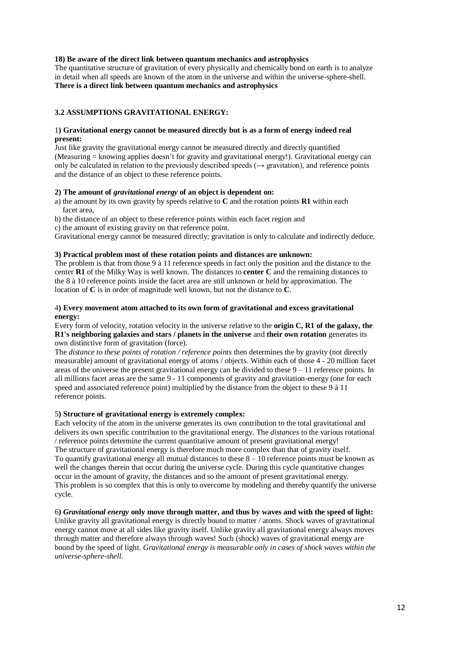## **18) Be aware of the direct link between quantum mechanics and astrophysics**

The quantitative structure of gravitation of every physically and chemically bond on earth is to analyze in detail when all speeds are known of the atom in the universe and within the universe-sphere-shell. **There is a direct link between quantum mechanics and astrophysics**

## **3.2 ASSUMPTIONS GRAVITATIONAL ENERGY:**

## 1**) Gravitational energy cannot be measured directly but is as a form of energy indeed real present:**

Just like gravity the gravitational energy cannot be measured directly and directly quantified (Measuring = knowing applies doesn't for gravity and gravitational energy!). Gravitational energy can only be calculated in relation to the previously described speeds ( $\rightarrow$  gravitation), and reference points and the distance of an object to these reference points.

#### **2) The amount of** *gravitational energy* **of an object is dependent on:**

a) the amount by its own gravity by speeds relative to **C** and the rotation points **R1** within each facet area,

b) the distance of an object to these reference points within each facet region and

c) the amount of existing gravity on that reference point.

Gravitational energy cannot be measured directly; gravitation is only to calculate and indirectly deduce.

#### **3) Practical problem most of these rotation points and distances are unknown:**

The problem is that from those 9 à 11 reference speeds in fact only the position and the distance to the center **R1** of the Milky Way is well known. The distances to **center C** and the remaining distances to the 8 à 10 reference points inside the facet area are still unknown or held by approximation. The location of **C** is in order of magnitude well known, but not the distance to **C**.

## 4**) Every movement atom attached to its own form of gravitational and excess gravitational energy:**

## Every form of velocity, rotation velocity in the universe relative to the **origin C, R1 of the galaxy, the R1's neighboring galaxies and stars / planets in the universe** and **their own rotation** generates its own distinctive form of gravitation (force).

The *distance to these points of rotation / reference points* then determines the by gravity (not directly measurable) amount of gravitational energy of atoms / objects. Within each of those 4 - 20 million facet areas of the universe the present gravitational energy can be divided to these  $9 - 11$  reference points. In all millions facet areas are the same 9 - 11 components of gravity and gravitation-energy (one for each speed and associated reference point) multiplied by the distance from the object to these 9 à 11 reference points.

## 5**) Structure of gravitational energy is extremely complex:**

Each velocity of the atom in the universe generates its own contribution to the total gravitational and delivers its own specific contribution to the gravitational energy. The *distances* to the various rotational / reference points determine the current quantitative amount of present gravitational energy! The structure of gravitational energy is therefore much more complex than that of gravity itself. To quantify gravitational energy all mutual distances to these 8 – 10 reference points must be known as well the changes therein that occur during the universe cycle. During this cycle quantitative changes occur in the amount of gravity, the distances and so the amount of present gravitational energy. This problem is so complex that this is only to overcome by modeling and thereby quantify the universe cycle.

## 6**)** *Gravitational energy* **only move through matter, and thus by waves and with the speed of light:**

Unlike gravity all gravitational energy is directly bound to matter / atoms. Shock waves of gravitational energy cannot move at all sides like gravity itself. Unlike gravity all gravitational energy always moves through matter and therefore always through waves! Such (shock) waves of gravitational energy are bound by the speed of light. *Gravitational energy is measurable only in cases of shock waves within the universe-sphere-shell.*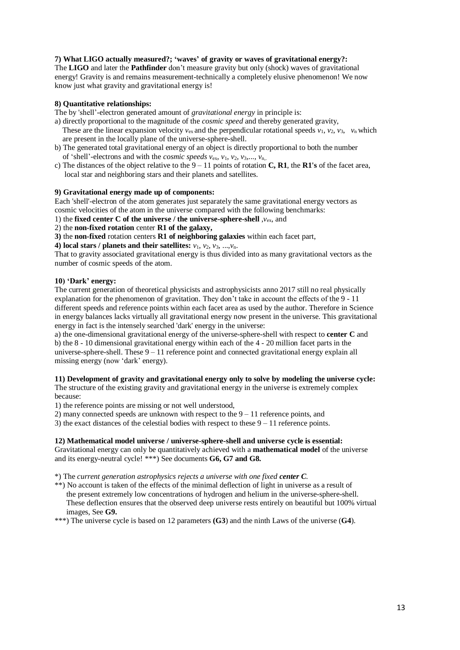# **7) What LIGO actually measured?; 'waves' of gravity or waves of gravitational energy?:**

The **LIGO** and later the **Pathfinder** don't measure gravity but only (shock) waves of gravitational energy! Gravity is and remains measurement-technically a completely elusive phenomenon! We now know just what gravity and gravitational energy is!

## **8) Quantitative relationships:**

The by 'shell'-electron generated amount of *gravitational energy* in principle is:

- a) directly proportional to the magnitude of the *cosmic speed* and thereby generated gravity, These are the linear expansion velocity  $v_{ex}$  and the perpendicular rotational speeds  $v_1$ ,  $v_2$ ,  $v_3$ ,  $v_n$  which are present in the locally plane of the universe-sphere-shell.
- b) The generated total gravitational energy of an object is directly proportional to both the number of 'shell'-electrons and with the *cosmic speeds v*ex, *v*1, *v*2, *v*3,..., *v*n,.
- c) The distances of the object relative to the 9 11 points of rotation **C, R1**, the **R1's** of the facet area, local star and neighboring stars and their planets and satellites.

#### **9) Gravitational energy made up of components:**

Each 'shell'-electron of the atom generates just separately the same gravitational energy vectors as cosmic velocities of the atom in the universe compared with the following benchmarks:

1) the **fixed center C of the universe / the universe-sphere-shell** ,*v*ex, and

2) the **non-fixed rotation** center **R1 of the galaxy,**

**3)** the **non-fixed** rotation centers **R1 of neighboring galaxies** within each facet part,

**4)** local stars / planets and their satellites:  $v_1$ ,  $v_2$ ,  $v_3$ , ..., $v_n$ .

That to gravity associated gravitational energy is thus divided into as many gravitational vectors as the number of cosmic speeds of the atom.

## **10) 'Dark' energy:**

The current generation of theoretical physicists and astrophysicists anno 2017 still no real physically explanation for the phenomenon of gravitation. They don't take in account the effects of the 9 - 11 different speeds and reference points within each facet area as used by the author. Therefore in Science in energy balances lacks virtually all gravitational energy now present in the universe. This gravitational energy in fact is the intensely searched 'dark' energy in the universe:

a) the one-dimensional gravitational energy of the universe-sphere-shell with respect to **center C** and b) the 8 - 10 dimensional gravitational energy within each of the 4 - 20 million facet parts in the universe-sphere-shell. These  $9 - 11$  reference point and connected gravitational energy explain all missing energy (now 'dark' energy).

# **11) Development of gravity and gravitational energy only to solve by modeling the universe cycle:**

The structure of the existing gravity and gravitational energy in the universe is extremely complex because:

1) the reference points are missing or not well understood,

2) many connected speeds are unknown with respect to the  $9 - 11$  reference points, and

3) the exact distances of the celestial bodies with respect to these  $9 - 11$  reference points.

# **12) Mathematical model universe / universe-sphere-shell and universe cycle is essential:**

Gravitational energy can only be quantitatively achieved with a **mathematical model** of the universe and its energy-neutral cycle! \*\*\*) See documents **G6, G7 and G8.**

\*) The *current generation astrophysics rejects a universe with one fixed center C.*

\*\*) No account is taken of the effects of the minimal deflection of light in universe as a result of the present extremely low concentrations of hydrogen and helium in the universe-sphere-shell. These deflection ensures that the observed deep universe rests entirely on beautiful but 100% virtual images, See **G9.**

\*\*\*) The universe cycle is based on 12 parameters **(G3**) and the ninth Laws of the universe (**G4**).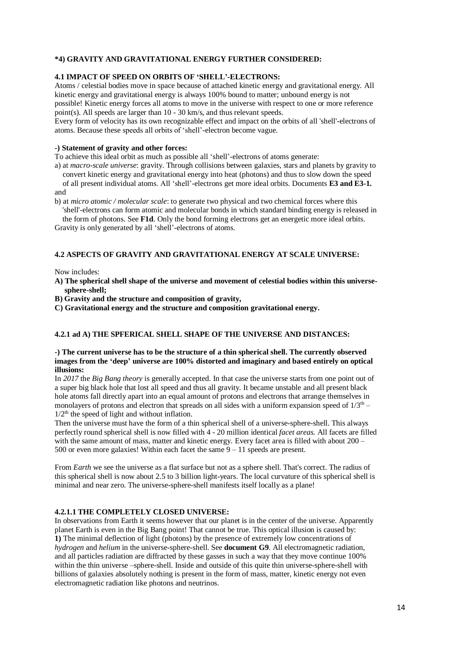## **\*4) GRAVITY AND GRAVITATIONAL ENERGY FURTHER CONSIDERED:**

# **4.1 IMPACT OF SPEED ON ORBITS OF 'SHELL'-ELECTRONS:**

Atoms / celestial bodies move in space because of attached kinetic energy and gravitational energy. All kinetic energy and gravitational energy is always 100% bound to matter; unbound energy is not possible! Kinetic energy forces all atoms to move in the universe with respect to one or more reference point(s). All speeds are larger than 10 - 30 km/s, and thus relevant speeds.

Every form of velocity has its own recognizable effect and impact on the orbits of all 'shell'-electrons of atoms. Because these speeds all orbits of 'shell'-electron become vague.

#### **-) Statement of gravity and other forces:**

To achieve this ideal orbit as much as possible all 'shell'-electrons of atoms generate:

- a) at *macro-scale universe*: gravity. Through collisions between galaxies, stars and planets by gravity to convert kinetic energy and gravitational energy into heat (photons) and thus to slow down the speed of all present individual atoms. All 'shell'-electrons get more ideal orbits. Documents **E3 and E3-1.**
- and
- b) at *micro atomic / molecular scale*: to generate two physical and two chemical forces where this 'shell'-electrons can form atomic and molecular bonds in which standard binding energy is released in

 the form of photons. See **F1d**. Only the bond forming electrons get an energetic more ideal orbits. Gravity is only generated by all 'shell'-electrons of atoms.

# **4.2 ASPECTS OF GRAVITY AND GRAVITATIONAL ENERGY AT SCALE UNIVERSE:**

Now includes:

- **A) The spherical shell shape of the universe and movement of celestial bodies within this universe sphere-shell;**
- **B) Gravity and the structure and composition of gravity,**
- **C) Gravitational energy and the structure and composition gravitational energy.**

## **4.2.1 ad A) THE SPFERICAL SHELL SHAPE OF THE UNIVERSE AND DISTANCES:**

## **-) The current universe has to be the structure of a thin spherical shell. The currently observed images from the 'deep' universe are 100% distorted and imaginary and based entirely on optical illusions:**

In *2017* the *Big Bang theory* is generally accepted. In that case the universe starts from one point out of a super big black hole that lost all speed and thus all gravity. It became unstable and all present black hole atoms fall directly apart into an equal amount of protons and electrons that arrange themselves in monolayers of protons and electron that spreads on all sides with a uniform expansion speed of  $1/3<sup>th</sup>$  –  $1/2<sup>th</sup>$  the speed of light and without inflation.

Then the universe must have the form of a thin spherical shell of a universe-sphere-shell. This always perfectly round spherical shell is now filled with 4 - 20 million identical *facet areas.* All facets are filled with the same amount of mass, matter and kinetic energy. Every facet area is filled with about 200 – 500 or even more galaxies! Within each facet the same  $9 - 11$  speeds are present.

From *Earth* we see the universe as a flat surface but not as a sphere shell. That's correct. The radius of this spherical shell is now about 2.5 to 3 billion light-years. The local curvature of this spherical shell is minimal and near zero. The universe-sphere-shell manifests itself locally as a plane!

## **4.2.1.1 THE COMPLETELY CLOSED UNIVERSE:**

In observations from Earth it seems however that our planet is in the center of the universe. Apparently planet Earth is even in the Big Bang point! That cannot be true. This optical illusion is caused by: **1)** The minimal deflection of light (photons) by the presence of extremely low concentrations of *hydrogen* and *helium* in the universe-sphere-shell. See **document G9**. All electromagnetic radiation, and all particles radiation are diffracted by these gasses in such a way that they move continue 100% within the thin universe –sphere-shell. Inside and outside of this quite thin universe-sphere-shell with billions of galaxies absolutely nothing is present in the form of mass, matter, kinetic energy not even electromagnetic radiation like photons and neutrinos.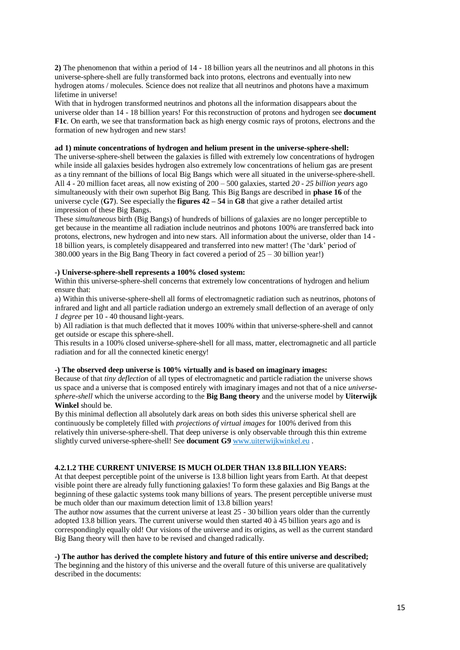**2)** The phenomenon that within a period of 14 - 18 billion years all the neutrinos and all photons in this universe-sphere-shell are fully transformed back into protons, electrons and eventually into new hydrogen atoms / molecules. Science does not realize that all neutrinos and photons have a maximum lifetime in universe!

With that in hydrogen transformed neutrinos and photons all the information disappears about the universe older than 14 - 18 billion years! For this reconstruction of protons and hydrogen see **document F1c**. On earth, we see that transformation back as high energy cosmic rays of protons, electrons and the formation of new hydrogen and new stars!

# **ad 1) minute concentrations of hydrogen and helium present in the universe-sphere-shell:**

The universe-sphere-shell between the galaxies is filled with extremely low concentrations of hydrogen while inside all galaxies besides hydrogen also extremely low concentrations of helium gas are present as a tiny remnant of the billions of local Big Bangs which were all situated in the universe-sphere-shell. All 4 - 20 million facet areas, all now existing of 200 – 500 galaxies, started *20 - 25 billion years* ago simultaneously with their own superhot Big Bang. This Big Bangs are described in **phase 16** of the universe cycle (**G7**). See especially the **figures 42 – 54** in **G8** that give a rather detailed artist impression of these Big Bangs.

These *simultaneous* birth (Big Bangs) of hundreds of billions of galaxies are no longer perceptible to get because in the meantime all radiation include neutrinos and photons 100% are transferred back into protons, electrons, new hydrogen and into new stars. All information about the universe, older than 14 - 18 billion years, is completely disappeared and transferred into new matter! (The 'dark' period of 380.000 years in the Big Bang Theory in fact covered a period of 25 – 30 billion year!)

#### **-) Universe-sphere-shell represents a 100% closed system:**

Within this universe-sphere-shell concerns that extremely low concentrations of hydrogen and helium ensure that:

a) Within this universe-sphere-shell all forms of electromagnetic radiation such as neutrinos, photons of infrared and light and all particle radiation undergo an extremely small deflection of an average of only *1 degree* per 10 - 40 thousand light-years.

b) All radiation is that much deflected that it moves 100% within that universe-sphere-shell and cannot get outside or escape this sphere-shell.

This results in a 100% closed universe-sphere-shell for all mass, matter, electromagnetic and all particle radiation and for all the connected kinetic energy!

#### **-) The observed deep universe is 100% virtually and is based on imaginary images:**

Because of that *tiny deflection* of all types of electromagnetic and particle radiation the universe shows us space and a universe that is composed entirely with imaginary images and not that of a nice *universesphere-shell* which the universe according to the **Big Bang theory** and the universe model by **Uiterwijk Winkel** should be.

By this minimal deflection all absolutely dark areas on both sides this universe spherical shell are continuously be completely filled with *projections of virtual images* for 100% derived from this relatively thin universe-sphere-shell. That deep universe is only observable through this thin extreme slightly curved universe-sphere-shell! See **document G9** [www.uiterwijkwinkel.eu](https://translate.google.com/translate?hl=nl&prev=_t&sl=nl&tl=en&u=http://www.uiterwijkwinkel.eu) .

# **4.2.1.2 THE CURRENT UNIVERSE IS MUCH OLDER THAN 13.8 BILLION YEARS:**

At that deepest perceptible point of the universe is 13.8 billion light years from Earth. At that deepest visible point there are already fully functioning galaxies! To form these galaxies and Big Bangs at the beginning of these galactic systems took many billions of years. The present perceptible universe must be much older than our maximum detection limit of 13.8 billion years!

The author now assumes that the current universe at least 25 - 30 billion years older than the currently adopted 13.8 billion years. The current universe would then started 40 à 45 billion years ago and is correspondingly equally old! Our visions of the universe and its origins, as well as the current standard Big Bang theory will then have to be revised and changed radically.

**-) The author has derived the complete history and future of this entire universe and described;** The beginning and the history of this universe and the overall future of this universe are qualitatively described in the documents: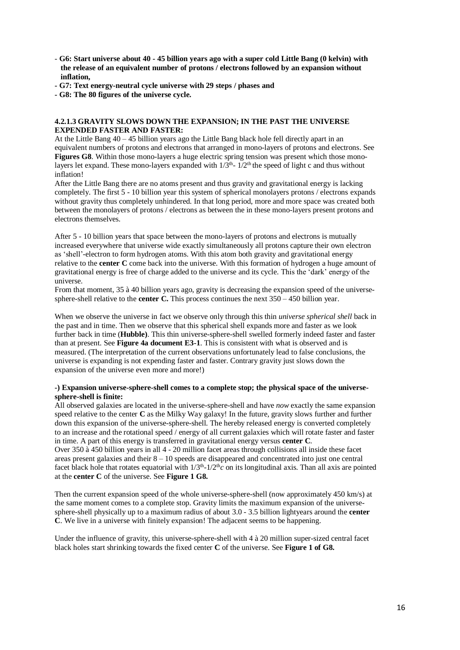- **G6: Start universe about 40 - 45 billion years ago with a super cold Little Bang (0 kelvin) with the release of an equivalent number of protons / electrons followed by an expansion without inflation,**
- **- G7: Text energy-neutral cycle universe with 29 steps / phases and**
- **- G8: The 80 figures of the universe cycle.**

#### **4.2.1.3 GRAVITY SLOWS DOWN THE EXPANSION; IN THE PAST THE UNIVERSE EXPENDED FASTER AND FASTER:**

At the Little Bang 40 – 45 billion years ago the Little Bang black hole fell directly apart in an equivalent numbers of protons and electrons that arranged in mono-layers of protons and electrons. See Figures G8. Within those mono-layers a huge electric spring tension was present which those monolayers let expand. These mono-layers expanded with  $1/3<sup>th</sup>$ -  $1/2<sup>th</sup>$  the speed of light c and thus without inflation!

After the Little Bang there are no atoms present and thus gravity and gravitational energy is lacking completely. The first 5 - 10 billion year this system of spherical monolayers protons / electrons expands without gravity thus completely unhindered. In that long period, more and more space was created both between the monolayers of protons / electrons as between the in these mono-layers present protons and electrons themselves.

After 5 - 10 billion years that space between the mono-layers of protons and electrons is mutually increased everywhere that universe wide exactly simultaneously all protons capture their own electron as 'shell'-electron to form hydrogen atoms. With this atom both gravity and gravitational energy relative to the **center C** come back into the universe. With this formation of hydrogen a huge amount of gravitational energy is free of charge added to the universe and its cycle. This the 'dark' energy of the universe.

From that moment, 35 à 40 billion years ago, gravity is decreasing the expansion speed of the universesphere-shell relative to the **center C.** This process continues the next 350 – 450 billion year.

When we observe the universe in fact we observe only through this thin *universe spherical shell* back in the past and in time. Then we observe that this spherical shell expands more and faster as we look further back in time (**Hubble)**. This thin universe-sphere-shell swelled formerly indeed faster and faster than at present. See **Figure 4a document E3-1**. This is consistent with what is observed and is measured. (The interpretation of the current observations unfortunately lead to false conclusions, the universe is expanding is not expending faster and faster. Contrary gravity just slows down the expansion of the universe even more and more!)

#### **-) Expansion universe-sphere-shell comes to a complete stop; the physical space of the universesphere-shell is finite:**

All observed galaxies are located in the universe-sphere-shell and have *now* exactly the same expansion speed relative to the center **C** as the Milky Way galaxy! In the future, gravity slows further and further down this expansion of the universe-sphere-shell. The hereby released energy is converted completely to an increase and the rotational speed / energy of all current galaxies which will rotate faster and faster in time. A part of this energy is transferred in gravitational energy versus **center C**.

Over 350 à 450 billion years in all 4 - 20 million facet areas through collisions all inside these facet areas present galaxies and their 8 – 10 speeds are disappeared and concentrated into just one central facet black hole that rotates equatorial with  $1/3<sup>th</sup>$ - $1/2<sup>th</sup>c$  on its longitudinal axis. Than all axis are pointed at the **center C** of the universe. See **Figure 1 G8.**

Then the current expansion speed of the whole universe-sphere-shell (now approximately 450 km/s) at the same moment comes to a complete stop. Gravity limits the maximum expansion of the universesphere-shell physically up to a maximum radius of about 3.0 - 3.5 billion lightyears around the **center C**. We live in a universe with finitely expansion! The adjacent seems to be happening.

Under the influence of gravity, this universe-sphere-shell with 4 à 20 million super-sized central facet black holes start shrinking towards the fixed center **C** of the universe. See **Figure 1 of G8.**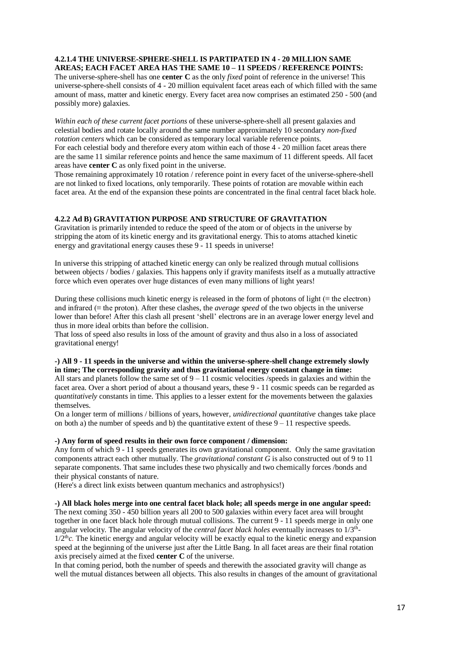## **4.2.1.4 THE UNIVERSE-SPHERE-SHELL IS PARTIPATED IN 4 - 20 MILLION SAME AREAS; EACH FACET AREA HAS THE SAME 10 – 11 SPEEDS / REFERENCE POINTS:**

The universe-sphere-shell has one **center C** as the only *fixed* point of reference in the universe! This universe-sphere-shell consists of 4 - 20 million equivalent facet areas each of which filled with the same amount of mass, matter and kinetic energy. Every facet area now comprises an estimated 250 - 500 (and possibly more) galaxies.

*Within each of these current facet portions* of these universe-sphere-shell all present galaxies and celestial bodies and rotate locally around the same number approximately 10 secondary *non-fixed rotation centers* which can be considered as temporary local variable reference points.

For each celestial body and therefore every atom within each of those 4 - 20 million facet areas there are the same 11 similar reference points and hence the same maximum of 11 different speeds. All facet areas have **center C** as only fixed point in the universe.

Those remaining approximately 10 rotation / reference point in every facet of the universe-sphere-shell are not linked to fixed locations, only temporarily. These points of rotation are movable within each facet area. At the end of the expansion these points are concentrated in the final central facet black hole.

# **4.2.2 Ad B) GRAVITATION PURPOSE AND STRUCTURE OF GRAVITATION**

Gravitation is primarily intended to reduce the speed of the atom or of objects in the universe by stripping the atom of its kinetic energy and its gravitational energy. This to atoms attached kinetic energy and gravitational energy causes these 9 - 11 speeds in universe!

In universe this stripping of attached kinetic energy can only be realized through mutual collisions between objects / bodies / galaxies. This happens only if gravity manifests itself as a mutually attractive force which even operates over huge distances of even many millions of light years!

During these collisions much kinetic energy is released in the form of photons of light ( $\equiv$  the electron) and infrared (≡ the proton). After these clashes, the *average speed* of the two objects in the universe lower than before! After this clash all present 'shell' electrons are in an average lower energy level and thus in more ideal orbits than before the collision.

That loss of speed also results in loss of the amount of gravity and thus also in a loss of associated gravitational energy!

## **-) All 9 - 11 speeds in the universe and within the universe-sphere-shell change extremely slowly in time; The corresponding gravity and thus gravitational energy constant change in time:**

All stars and planets follow the same set of  $9 - 11$  cosmic velocities /speeds in galaxies and within the facet area. Over a short period of about a thousand years, these 9 - 11 cosmic speeds can be regarded as *quantitatively* constants in time. This applies to a lesser extent for the movements between the galaxies themselves.

On a longer term of millions / billions of years, however, *unidirectional quantitative* changes take place on both a) the number of speeds and b) the quantitative extent of these  $9 - 11$  respective speeds.

## **-) Any form of speed results in their own force component / dimension:**

Any form of which 9 - 11 speeds generates its own gravitational component. Only the same gravitation components attract each other mutually. The *gravitational constant G* is also constructed out of 9 to 11 separate components. That same includes these two physically and two chemically forces /bonds and their physical constants of nature.

(Here's a direct link exists between quantum mechanics and astrophysics!)

# **-) All black holes merge into one central facet black hole; all speeds merge in one angular speed:**

The next coming 350 - 450 billion years all 200 to 500 galaxies within every facet area will brought together in one facet black hole through mutual collisions. The current 9 - 11 speeds merge in only one angular velocity. The angular velocity of the *central facet black holes* eventually increases to 1/3<sup>th</sup>- $1/2<sup>th</sup>c$ . The kinetic energy and angular velocity will be exactly equal to the kinetic energy and expansion speed at the beginning of the universe just after the Little Bang. In all facet areas are their final rotation axis precisely aimed at the fixed **center C** of the universe.

In that coming period, both the number of speeds and therewith the associated gravity will change as well the mutual distances between all objects. This also results in changes of the amount of gravitational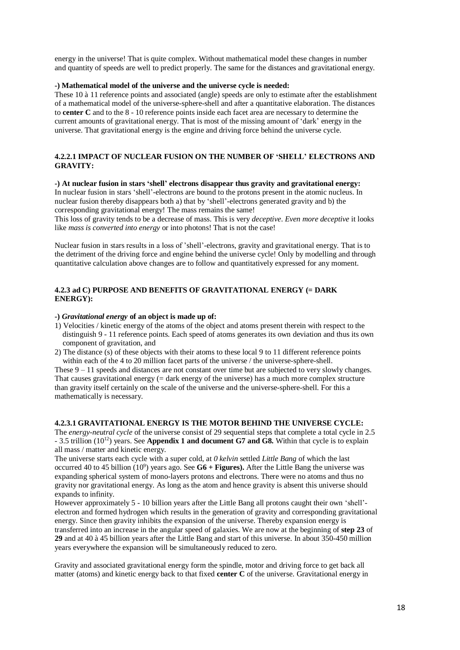energy in the universe! That is quite complex. Without mathematical model these changes in number and quantity of speeds are well to predict properly. The same for the distances and gravitational energy.

#### **-) Mathematical model of the universe and the universe cycle is needed:**

These 10 à 11 reference points and associated (angle) speeds are only to estimate after the establishment of a mathematical model of the universe-sphere-shell and after a quantitative elaboration. The distances to **center C** and to the 8 - 10 reference points inside each facet area are necessary to determine the current amounts of gravitational energy. That is most of the missing amount of 'dark' energy in the universe. That gravitational energy is the engine and driving force behind the universe cycle.

# **4.2.2.1 IMPACT OF NUCLEAR FUSION ON THE NUMBER OF 'SHELL' ELECTRONS AND GRAVITY:**

#### **-) At nuclear fusion in stars 'shell' electrons disappear thus gravity and gravitational energy:**

In nuclear fusion in stars 'shell'-electrons are bound to the protons present in the atomic nucleus. In nuclear fusion thereby disappears both a) that by 'shell'-electrons generated gravity and b) the corresponding gravitational energy! The mass remains the same!

This loss of gravity tends to be a decrease of mass. This is very *deceptive*. *Even more deceptive* it looks like *mass is converted into energy* or into photons! That is not the case!

Nuclear fusion in stars results in a loss of 'shell'-electrons, gravity and gravitational energy. That is to the detriment of the driving force and engine behind the universe cycle! Only by modelling and through quantitative calculation above changes are to follow and quantitatively expressed for any moment.

## **4.2.3 ad C) PURPOSE AND BENEFITS OF GRAVITATIONAL ENERGY (= DARK ENERGY):**

## **-)** *Gravitational energy* **of an object is made up of:**

- 1) Velocities / kinetic energy of the atoms of the object and atoms present therein with respect to the distinguish 9 - 11 reference points. Each speed of atoms generates its own deviation and thus its own component of gravitation, and
- 2) The distance (s) of these objects with their atoms to these local 9 to 11 different reference points within each of the 4 to 20 million facet parts of the universe / the universe-sphere-shell.

These 9 – 11 speeds and distances are not constant over time but are subjected to very slowly changes. That causes gravitational energy  $(=$  dark energy of the universe) has a much more complex structure than gravity itself certainly on the scale of the universe and the universe-sphere-shell. For this a mathematically is necessary.

# **4.2.3.1 GRAVITATIONAL ENERGY IS THE MOTOR BEHIND THE UNIVERSE CYCLE:**

The *energy-neutral cycle* of the universe consist of 29 sequential steps that complete a total cycle in 2.5 - 3.5 trillion (10<sup>12</sup>) years. See **Appendix 1 and document G7 and G8.** Within that cycle is to explain all mass / matter and kinetic energy.

The universe starts each cycle with a super cold, at *0 kelvin* settled *Little Bang* of which the last occurred 40 to 45 billion (10 9 ) years ago. See **G6 + Figures).** After the Little Bang the universe was expanding spherical system of mono-layers protons and electrons. There were no atoms and thus no gravity nor gravitational energy. As long as the atom and hence gravity is absent this universe should expands to infinity.

However approximately 5 - 10 billion years after the Little Bang all protons caught their own 'shell' electron and formed hydrogen which results in the generation of gravity and corresponding gravitational energy. Since then gravity inhibits the expansion of the universe. Thereby expansion energy is transferred into an increase in the angular speed of galaxies. We are now at the beginning of **step 23** of **29** and at 40 à 45 billion years after the Little Bang and start of this universe. In about 350-450 million

years everywhere the expansion will be simultaneously reduced to zero.

Gravity and associated gravitational energy form the spindle, motor and driving force to get back all matter (atoms) and kinetic energy back to that fixed **center C** of the universe. Gravitational energy in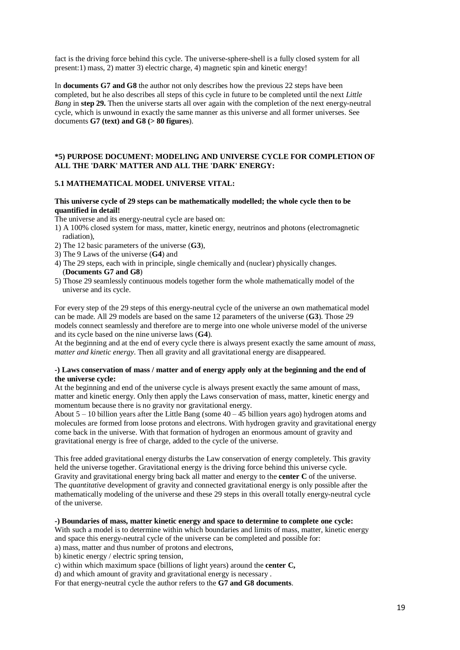fact is the driving force behind this cycle. The universe-sphere-shell is a fully closed system for all present:1) mass, 2) matter 3) electric charge, 4) magnetic spin and kinetic energy!

In **documents G7 and G8** the author not only describes how the previous 22 steps have been completed, but he also describes all steps of this cycle in future to be completed until the next *Little Bang* in **step 29.** Then the universe starts all over again with the completion of the next energy-neutral cycle, which is unwound in exactly the same manner as this universe and all former universes. See documents **G7 (text) and G8 (> 80 figures**).

## **\*5) PURPOSE DOCUMENT: MODELING AND UNIVERSE CYCLE FOR COMPLETION OF ALL THE 'DARK' MATTER AND ALL THE 'DARK' ENERGY:**

# **5.1 MATHEMATICAL MODEL UNIVERSE VITAL:**

#### **This universe cycle of 29 steps can be mathematically modelled; the whole cycle then to be quantified in detail!**

The universe and its energy-neutral cycle are based on:

- 1) A 100% closed system for mass, matter, kinetic energy, neutrinos and photons (electromagnetic radiation),
- 2) The 12 basic parameters of the universe (**G3**),
- 3) The 9 Laws of the universe (**G4**) and
- 4) The 29 steps, each with in principle, single chemically and (nuclear) physically changes. (**Documents G7 and G8**)
- 5) Those 29 seamlessly continuous models together form the whole mathematically model of the universe and its cycle.

For every step of the 29 steps of this energy-neutral cycle of the universe an own mathematical model can be made. All 29 models are based on the same 12 parameters of the universe (**G3**). Those 29 models connect seamlessly and therefore are to merge into one whole universe model of the universe and its cycle based on the nine universe laws (**G4**).

At the beginning and at the end of every cycle there is always present exactly the same amount of *mass, matter and kinetic energy*. Then all gravity and all gravitational energy are disappeared.

#### **-) Laws conservation of mass / matter and of energy apply only at the beginning and the end of the universe cycle:**

At the beginning and end of the universe cycle is always present exactly the same amount of mass, matter and kinetic energy. Only then apply the Laws conservation of mass, matter, kinetic energy and momentum because there is no gravity nor gravitational energy.

About  $5 - 10$  billion years after the Little Bang (some  $40 - 45$  billion years ago) hydrogen atoms and molecules are formed from loose protons and electrons. With hydrogen gravity and gravitational energy come back in the universe. With that formation of hydrogen an enormous amount of gravity and gravitational energy is free of charge, added to the cycle of the universe.

This free added gravitational energy disturbs the Law conservation of energy completely. This gravity held the universe together. Gravitational energy is the driving force behind this universe cycle. Gravity and gravitational energy bring back all matter and energy to the **center C** of the universe. The *quantitative* development of gravity and connected gravitational energy is only possible after the mathematically modeling of the universe and these 29 steps in this overall totally energy-neutral cycle of the universe.

#### **-) Boundaries of mass, matter kinetic energy and space to determine to complete one cycle:**

With such a model is to determine within which boundaries and limits of mass, matter, kinetic energy and space this energy-neutral cycle of the universe can be completed and possible for:

a) mass, matter and thus number of protons and electrons,

b) kinetic energy / electric spring tension,

c) within which maximum space (billions of light years) around the **center C,**

d) and which amount of gravity and gravitational energy is necessary .

For that energy-neutral cycle the author refers to the **G7 and G8 documents**.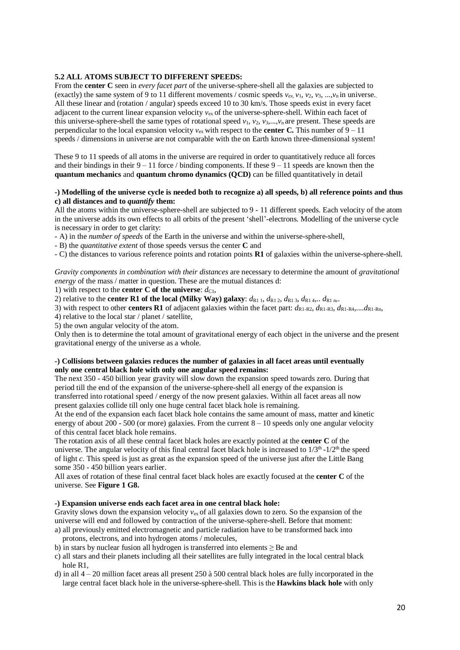# **5.2 ALL ATOMS SUBJECT TO DIFFERENT SPEEDS:**

From the **center C** seen in *every facet part* of the universe-sphere-shell all the galaxies are subjected to (exactly) the same system of 9 to 11 different movements / cosmic speeds  $v_{e\lambda}$ ,  $v_1$ ,  $v_2$ ,  $v_3$ , ..., $v_n$  in universe. All these linear and (rotation / angular) speeds exceed 10 to 30 km/s. Those speeds exist in every facet adjacent to the current linear expansion velocity *v*ex of the universe-sphere-shell. Within each facet of this universe-sphere-shell the same types of rotational speed  $v_1, v_2, v_3, \ldots, v_n$  are present. These speeds are perpendicular to the local expansion velocity  $v_{\text{ex}}$  with respect to the **center C.** This number of  $9 - 11$ speeds / dimensions in universe are not comparable with the on Earth known three-dimensional system!

These 9 to 11 speeds of all atoms in the universe are required in order to quantitatively reduce all forces and their bindings in their  $9 - 11$  force / binding components. If these  $9 - 11$  speeds are known then the **quantum mechanics** and **quantum chromo dynamics (QCD)** can be filled quantitatively in detail

## **-) Modelling of the universe cycle is needed both to recognize a) all speeds, b) all reference points and thus c) all distances and to** *quantify* **them:**

All the atoms within the universe-sphere-shell are subjected to 9 - 11 different speeds. Each velocity of the atom in the universe adds its own effects to all orbits of the present 'shell'-electrons. Modelling of the universe cycle is necessary in order to get clarity:

- A) in the *number of speeds* of the Earth in the universe and within the universe-sphere-shell,

- B) the *quantitative extent* of those speeds versus the center **C** and

- C) the distances to various reference points and rotation points **R1** of galaxies within the universe-sphere-shell.

*Gravity components in combination with their distances* are necessary to determine the amount of *gravitational energy* of the mass / matter in question. These are the mutual distances d:

1) with respect to the **center C of the universe**:  $d_{\text{Cl}}$ ,

2) relative to the **center R1 of the local (Milky Way) galaxy**:  $d_{R1}$  1,  $d_{R1}$  2,  $d_{R1}$  3,  $d_{R1}$  4,..  $d_{R1}$  n,.

3) with respect to other **centers R1** of adjacent galaxies within the facet part:  $d_{R1-R2}$ ,  $d_{R1-R3}$ ,  $d_{R1-R4}$ ,.... $d_{R1-R1}$ ,

4) relative to the local star / planet / satellite,

5) the own angular velocity of the atom.

Only then is to determine the total amount of gravitational energy of each object in the universe and the present gravitational energy of the universe as a whole.

## **-) Collisions between galaxies reduces the number of galaxies in all facet areas until eventually only one central black hole with only one angular speed remains:**

The next 350 - 450 billion year gravity will slow down the expansion speed towards zero. During that period till the end of the expansion of the universe-sphere-shell all energy of the expansion is transferred into rotational speed / energy of the now present galaxies. Within all facet areas all now present galaxies collide till only one huge central facet black hole is remaining.

At the end of the expansion each facet black hole contains the same amount of mass, matter and kinetic energy of about 200 - 500 (or more) galaxies. From the current 8 – 10 speeds only one angular velocity of this central facet black hole remains.

The rotation axis of all these central facet black holes are exactly pointed at the **center C** of the universe. The angular velocity of this final central facet black hole is increased to  $1/3<sup>th</sup>$  -1/2<sup>th</sup> the speed of light *c.* This speed is just as great as the expansion speed of the universe just after the Little Bang some 350 - 450 billion years earlier.

All axes of rotation of these final central facet black holes are exactly focused at the **center C** of the universe. See **Figure 1 G8.**

## **-) Expansion universe ends each facet area in one central black hole:**

Gravity slows down the expansion velocity  $v_{ex}$  of all galaxies down to zero. So the expansion of the universe will end and followed by contraction of the universe-sphere-shell. Before that moment: a) all previously emitted electromagnetic and particle radiation have to be transformed back into

- protons, electrons, and into hydrogen atoms / molecules,
- b) in stars by nuclear fusion all hydrogen is transferred into elements  $\geq$  Be and
- c) all stars and their planets including all their satellites are fully integrated in the local central black hole R1,
- d) in all  $4 20$  million facet areas all present 250 à 500 central black holes are fully incorporated in the large central facet black hole in the universe-sphere-shell. This is the **Hawkins black hole** with only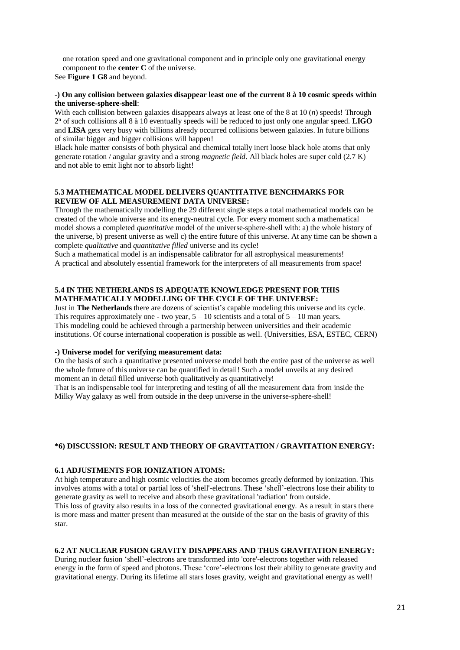one rotation speed and one gravitational component and in principle only one gravitational energy component to the **center C** of the universe.

See **Figure 1 G8** and beyond.

#### **-) On any collision between galaxies disappear least one of the current 8 à 10 cosmic speeds within the universe-sphere-shell**:

With each collision between galaxies disappears always at least one of the 8 at 10 (*n*) speeds! Through 2 <sup>n</sup> of such collisions all 8 à 10 eventually speeds will be reduced to just only one angular speed. **LIGO**  and **LISA** gets very busy with billions already occurred collisions between galaxies. In future billions of similar bigger and bigger collisions will happen!

Black hole matter consists of both physical and chemical totally inert loose black hole atoms that only generate rotation / angular gravity and a strong *magnetic field*. All black holes are super cold (2.7 K) and not able to emit light nor to absorb light!

## **5.3 MATHEMATICAL MODEL DELIVERS QUANTITATIVE BENCHMARKS FOR REVIEW OF ALL MEASUREMENT DATA UNIVERSE:**

Through the mathematically modelling the 29 different single steps a total mathematical models can be created of the whole universe and its energy-neutral cycle. For every moment such a mathematical model shows a completed *quantitative* model of the universe-sphere-shell with: a) the whole history of the universe, b) present universe as well c) the entire future of this universe. At any time can be shown a complete *qualitative* and *quantitative filled* universe and its cycle!

Such a mathematical model is an indispensable calibrator for all astrophysical measurements! A practical and absolutely essential framework for the interpreters of all measurements from space!

## **5.4 IN THE NETHERLANDS IS ADEQUATE KNOWLEDGE PRESENT FOR THIS MATHEMATICALLY MODELLING OF THE CYCLE OF THE UNIVERSE:**

Just in **The Netherlands** there are dozens of scientist's capable modeling this universe and its cycle. This requires approximately one - two year,  $5 - 10$  scientists and a total of  $5 - 10$  man years. This modeling could be achieved through a partnership between universities and their academic institutions. Of course international cooperation is possible as well. (Universities, ESA, ESTEC, CERN)

## **-) Universe model for verifying measurement data:**

On the basis of such a quantitative presented universe model both the entire past of the universe as well the whole future of this universe can be quantified in detail! Such a model unveils at any desired moment an in detail filled universe both qualitatively as quantitatively!

That is an indispensable tool for interpreting and testing of all the measurement data from inside the Milky Way galaxy as well from outside in the deep universe in the universe-sphere-shell!

## **\*6) DISCUSSION: RESULT AND THEORY OF GRAVITATION / GRAVITATION ENERGY:**

# **6.1 ADJUSTMENTS FOR IONIZATION ATOMS:**

At high temperature and high cosmic velocities the atom becomes greatly deformed by ionization. This involves atoms with a total or partial loss of 'shell'-electrons. These 'shell'-electrons lose their ability to generate gravity as well to receive and absorb these gravitational 'radiation' from outside. This loss of gravity also results in a loss of the connected gravitational energy. As a result in stars there is more mass and matter present than measured at the outside of the star on the basis of gravity of this star.

## **6.2 AT NUCLEAR FUSION GRAVITY DISAPPEARS AND THUS GRAVITATION ENERGY:**

During nuclear fusion 'shell'-electrons are transformed into 'core'-electrons together with released energy in the form of speed and photons. These 'core'-electrons lost their ability to generate gravity and gravitational energy. During its lifetime all stars loses gravity, weight and gravitational energy as well!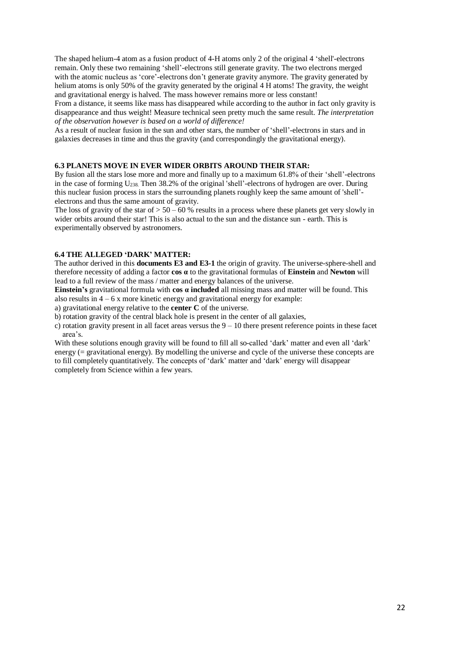The shaped helium-4 atom as a fusion product of 4-H atoms only 2 of the original 4 'shell'-electrons remain. Only these two remaining 'shell'-electrons still generate gravity. The two electrons merged with the atomic nucleus as 'core'-electrons don't generate gravity anymore. The gravity generated by helium atoms is only 50% of the gravity generated by the original 4 H atoms! The gravity, the weight and gravitational energy is halved. The mass however remains more or less constant!

From a distance, it seems like mass has disappeared while according to the author in fact only gravity is disappearance and thus weight! Measure technical seen pretty much the same result. *The interpretation of the observation however is based on a world of difference!*

As a result of nuclear fusion in the sun and other stars, the number of 'shell'-electrons in stars and in galaxies decreases in time and thus the gravity (and correspondingly the gravitational energy).

## **6.3 PLANETS MOVE IN EVER WIDER ORBITS AROUND THEIR STAR:**

By fusion all the stars lose more and more and finally up to a maximum 61.8% of their 'shell'-electrons in the case of forming  $U_{238}$ . Then 38.2% of the original 'shell'-electrons of hydrogen are over. During this nuclear fusion process in stars the surrounding planets roughly keep the same amount of 'shell' electrons and thus the same amount of gravity.

The loss of gravity of the star of  $> 50 - 60$  % results in a process where these planets get very slowly in wider orbits around their star! This is also actual to the sun and the distance sun - earth. This is experimentally observed by astronomers.

#### **6.4 THE ALLEGED 'DARK' MATTER:**

The author derived in this **documents E3 and E3-1** the origin of gravity. The universe-sphere-shell and therefore necessity of adding a factor **cos α** to the gravitational formulas of **Einstein** and **Newton** will lead to a full review of the mass / matter and energy balances of the universe.

**Einstein's** gravitational formula with **cos α included** all missing mass and matter will be found. This also results in  $4 - 6x$  more kinetic energy and gravitational energy for example:

a) gravitational energy relative to the **center C** of the universe.

b) rotation gravity of the central black hole is present in the center of all galaxies,

c) rotation gravity present in all facet areas versus the  $9 - 10$  there present reference points in these facet area's.

With these solutions enough gravity will be found to fill all so-called 'dark' matter and even all 'dark' energy (= gravitational energy). By modelling the universe and cycle of the universe these concepts are to fill completely quantitatively. The concepts of 'dark' matter and 'dark' energy will disappear completely from Science within a few years.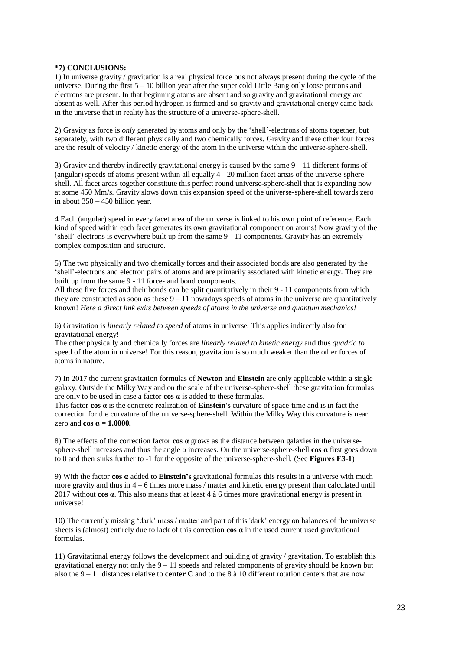## **\*7) CONCLUSIONS:**

1) In universe gravity / gravitation is a real physical force bus not always present during the cycle of the universe. During the first  $5 - 10$  billion year after the super cold Little Bang only loose protons and electrons are present. In that beginning atoms are absent and so gravity and gravitational energy are absent as well. After this period hydrogen is formed and so gravity and gravitational energy came back in the universe that in reality has the structure of a universe-sphere-shell.

2) Gravity as force is *only* generated by atoms and only by the 'shell'-electrons of atoms together, but separately, with two different physically and two chemically forces. Gravity and these other four forces are the result of velocity / kinetic energy of the atom in the universe within the universe-sphere-shell.

3) Gravity and thereby indirectly gravitational energy is caused by the same  $9 - 11$  different forms of (angular) speeds of atoms present within all equally 4 - 20 million facet areas of the universe-sphereshell. All facet areas together constitute this perfect round universe-sphere-shell that is expanding now at some 450 Mm/s. Gravity slows down this expansion speed of the universe-sphere-shell towards zero in about 350 – 450 billion year.

4 Each (angular) speed in every facet area of the universe is linked to his own point of reference. Each kind of speed within each facet generates its own gravitational component on atoms! Now gravity of the 'shell'-electrons is everywhere built up from the same 9 - 11 components. Gravity has an extremely complex composition and structure.

5) The two physically and two chemically forces and their associated bonds are also generated by the 'shell'-electrons and electron pairs of atoms and are primarily associated with kinetic energy. They are built up from the same 9 - 11 force- and bond components.

All these five forces and their bonds can be split quantitatively in their 9 - 11 components from which they are constructed as soon as these  $9 - 11$  nowadays speeds of atoms in the universe are quantitatively known! *Here a direct link exits between speeds of atoms in the universe and quantum mechanics!*

6) Gravitation is *linearly related to speed* of atoms in universe*.* This applies indirectly also for gravitational energy!

The other physically and chemically forces are *linearly related to kinetic energy* and thus *quadric to*  speed of the atom in universe! For this reason, gravitation is so much weaker than the other forces of atoms in nature.

7) In 2017 the current gravitation formulas of **Newton** and **Einstein** are only applicable within a single galaxy. Outside the Milky Way and on the scale of the universe-sphere-shell these gravitation formulas are only to be used in case a factor **cos α** is added to these formulas.

This factor **cos α** is the concrete realization of **Einstein's** curvature of space-time and is in fact the correction for the curvature of the universe-sphere-shell. Within the Milky Way this curvature is near zero and  $\cos \alpha = 1.0000$ .

8) The effects of the correction factor **cos α** grows as the distance between galaxies in the universesphere-shell increases and thus the angle  $\alpha$  increases. On the universe-sphere-shell **cos**  $\alpha$  first goes down to 0 and then sinks further to -1 for the opposite of the universe-sphere-shell. (See **Figures E3-1**)

9) With the factor **cos α** added to **Einstein's** gravitational formulas this results in a universe with much more gravity and thus in  $4 - 6$  times more mass / matter and kinetic energy present than calculated until 2017 without **cos α**. This also means that at least 4 à 6 times more gravitational energy is present in universe!

10) The currently missing 'dark' mass / matter and part of this 'dark' energy on balances of the universe sheets is (almost) entirely due to lack of this correction **cos α** in the used current used gravitational formulas.

11) Gravitational energy follows the development and building of gravity / gravitation. To establish this gravitational energy not only the  $9 - 11$  speeds and related components of gravity should be known but also the 9 – 11 distances relative to **center C** and to the 8 à 10 different rotation centers that are now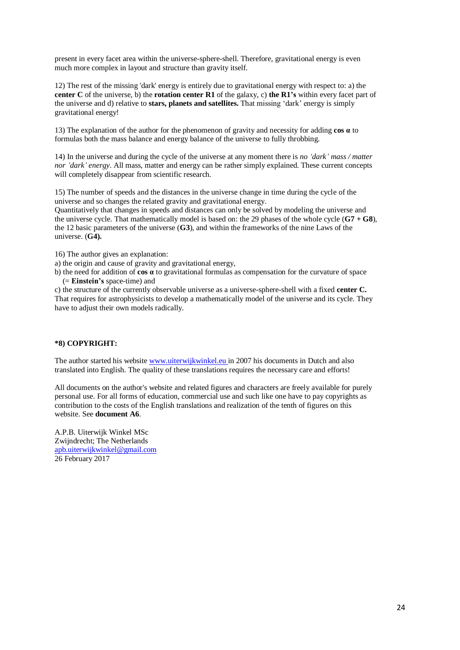present in every facet area within the universe-sphere-shell. Therefore, gravitational energy is even much more complex in layout and structure than gravity itself.

12) The rest of the missing 'dark' energy is entirely due to gravitational energy with respect to: a) the **center C** of the universe, b) the **rotation center R1** of the galaxy, c) **the R1's** within every facet part of the universe and d) relative to **stars, planets and satellites.** That missing 'dark' energy is simply gravitational energy!

13) The explanation of the author for the phenomenon of gravity and necessity for adding **cos α** to formulas both the mass balance and energy balance of the universe to fully throbbing.

14) In the universe and during the cycle of the universe at any moment there is *no 'dark' mass / matter nor 'dark' energy*. All mass, matter and energy can be rather simply explained. These current concepts will completely disappear from scientific research.

15) The number of speeds and the distances in the universe change in time during the cycle of the universe and so changes the related gravity and gravitational energy.

Quantitatively that changes in speeds and distances can only be solved by modeling the universe and the universe cycle. That mathematically model is based on: the 29 phases of the whole cycle (**G7 + G8**), the 12 basic parameters of the universe (**G3**), and within the frameworks of the nine Laws of the universe. (**G4).**

16) The author gives an explanation:

a) the origin and cause of gravity and gravitational energy,

b) the need for addition of **cos α** to gravitational formulas as compensation for the curvature of space (= **Einstein's** space-time) and

c) the structure of the currently observable universe as a universe-sphere-shell with a fixed **center C.** That requires for astrophysicists to develop a mathematically model of the universe and its cycle. They have to adjust their own models radically.

# **\*8) COPYRIGHT:**

The author started his website [www.uiterwijkwinkel.eu](https://translate.google.com/translate?hl=nl&prev=_t&sl=nl&tl=en&u=http://www.uiterwijkwinkel.eu) in 2007 his documents in Dutch and also translated into English. The quality of these translations requires the necessary care and efforts!

All documents on the author's website and related figures and characters are freely available for purely personal use. For all forms of education, commercial use and such like one have to pay copyrights as contribution to the costs of the English translations and realization of the tenth of figures on this website. See **document A6**.

A.P.B. Uiterwijk Winkel MSc Zwijndrecht; The Netherlands [apb.uiterwijkwinkel@gmail.com](mailto:apb.uiterwijkwinkel@gmail.com) 26 February 2017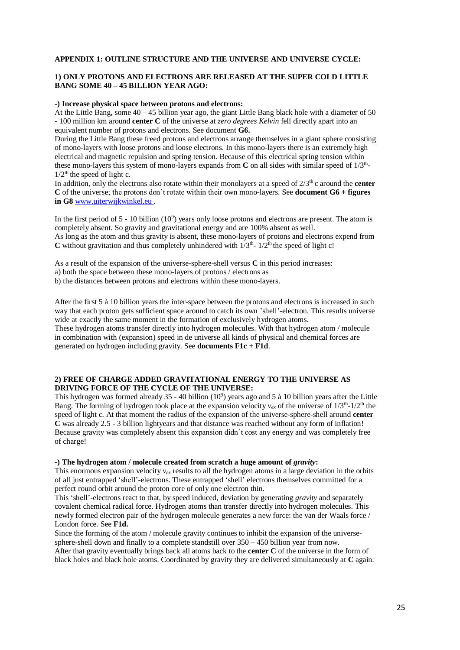#### **APPENDIX 1: OUTLINE STRUCTURE AND THE UNIVERSE AND UNIVERSE CYCLE:**

# **1) ONLY PROTONS AND ELECTRONS ARE RELEASED AT THE SUPER COLD LITTLE BANG SOME 40 – 45 BILLION YEAR AGO:**

#### **-) Increase physical space between protons and electrons:**

At the Little Bang, some  $40 - 45$  billion year ago, the giant Little Bang black hole with a diameter of 50 - 100 million km around **center C** of the universe at *zero degrees Kelvin* fell directly apart into an equivalent number of protons and electrons. See document **G6.**

During the Little Bang these freed protons and electrons arrange themselves in a giant sphere consisting of mono-layers with loose protons and loose electrons. In this mono-layers there is an extremely high electrical and magnetic repulsion and spring tension. Because of this electrical spring tension within these mono-layers this system of mono-layers expands from  $C$  on all sides with similar speed of  $1/3<sup>th</sup>$  $1/2$ <sup>th</sup> the speed of light c.

In addition, only the electrons also rotate within their monolayers at a speed of  $2/3<sup>th</sup>$  c around the **center C** of the universe; the protons don't rotate within their own mono-layers. See **document G6 + figures in G8** [www.uiterwijkwinkel.eu](https://translate.google.com/translate?hl=nl&prev=_t&sl=nl&tl=en&u=http://www.uiterwijkwinkel.eu) .

In the first period of  $5 - 10$  billion  $(10<sup>9</sup>)$  years only loose protons and electrons are present. The atom is completely absent. So gravity and gravitational energy and are 100% absent as well. As long as the atom and thus gravity is absent, these mono-layers of protons and electrons expend from  $\bf{C}$  without gravitation and thus completely unhindered with  $1/3<sup>th</sup>$ -  $1/2<sup>th</sup>$  the speed of light c!

As a result of the expansion of the universe-sphere-shell versus **C** in this period increases:

a) both the space between these mono-layers of protons / electrons as

b) the distances between protons and electrons within these mono-layers.

After the first 5 à 10 billion years the inter-space between the protons and electrons is increased in such way that each proton gets sufficient space around to catch its own 'shell'-electron. This results universe wide at exactly the same moment in the formation of exclusively hydrogen atoms.

These hydrogen atoms transfer directly into hydrogen molecules. With that hydrogen atom / molecule in combination with (expansion) speed in de universe all kinds of physical and chemical forces are generated on hydrogen including gravity. See **documents F1c + F1d**.

## **2) FREE OF CHARGE ADDED GRAVITATIONAL ENERGY TO THE UNIVERSE AS DRIVING FORCE OF THE CYCLE OF THE UNIVERSE:**

This hydrogen was formed already  $35 - 40$  billion  $(10^9)$  years ago and 5 à 10 billion years after the Little Bang. The forming of hydrogen took place at the expansion velocity  $v_{ex}$  of the universe of  $1/3<sup>th</sup>$ - $1/2<sup>th</sup>$  the speed of light c. At that moment the radius of the expansion of the universe-sphere-shell around **center C** was already 2.5 - 3 billion lightyears and that distance was reached without any form of inflation! Because gravity was completely absent this expansion didn't cost any energy and was completely free of charge!

#### -) The hydrogen atom / molecule created from scratch a huge amount of *gravity*:

This enormous expansion velocity  $v_{ex}$  results to all the hydrogen atoms in a large deviation in the orbits of all just entrapped 'shell'-electrons. These entrapped 'shell' electrons themselves committed for a perfect round orbit around the proton core of only one electron thin.

This 'shell'-electrons react to that, by speed induced, deviation by generating *gravity* and separately covalent chemical radical force. Hydrogen atoms than transfer directly into hydrogen molecules. This newly formed electron pair of the hydrogen molecule generates a new force: the van der Waals force / London force. See **F1d.**

Since the forming of the atom / molecule gravity continues to inhibit the expansion of the universesphere-shell down and finally to a complete standstill over  $350 - 450$  billion year from now.

After that gravity eventually brings back all atoms back to the **center C** of the universe in the form of black holes and black hole atoms. Coordinated by gravity they are delivered simultaneously at **C** again.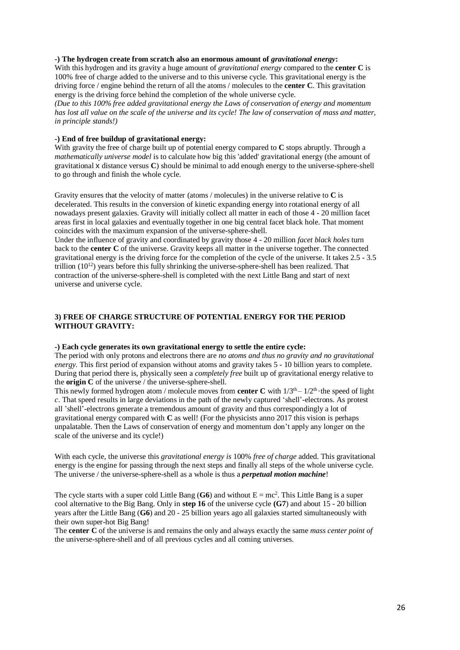#### **-) The hydrogen create from scratch also an enormous amount of** *gravitational energy***:**

With this hydrogen and its gravity a huge amount of *gravitational energy* compared to the **center C** is 100% free of charge added to the universe and to this universe cycle. This gravitational energy is the driving force / engine behind the return of all the atoms / molecules to the **center C**. This gravitation energy is the driving force behind the completion of the whole universe cycle.

*(Due to this 100% free added gravitational energy the Laws of conservation of energy and momentum has lost all value on the scale of the universe and its cycle! The law of conservation of mass and matter, in principle stands!)*

# **-) End of free buildup of gravitational energy:**

With gravity the free of charge built up of potential energy compared to **C** stops abruptly. Through a *mathematically universe model* is to calculate how big this 'added' gravitational energy (the amount of gravitational x distance versus **C**) should be minimal to add enough energy to the universe-sphere-shell to go through and finish the whole cycle.

Gravity ensures that the velocity of matter (atoms / molecules) in the universe relative to **C** is decelerated. This results in the conversion of kinetic expanding energy into rotational energy of all nowadays present galaxies. Gravity will initially collect all matter in each of those 4 - 20 million facet areas first in local galaxies and eventually together in one big central facet black hole. That moment coincides with the maximum expansion of the universe-sphere-shell.

Under the influence of gravity and coordinated by gravity those 4 - 20 million *facet black holes* turn back to the **center C** of the universe. Gravity keeps all matter in the universe together. The connected gravitational energy is the driving force for the completion of the cycle of the universe. It takes 2.5 - 3.5 trillion  $(10^{12})$  years before this fully shrinking the universe-sphere-shell has been realized. That contraction of the universe-sphere-shell is completed with the next Little Bang and start of next universe and universe cycle.

# **3) FREE OF CHARGE STRUCTURE OF POTENTIAL ENERGY FOR THE PERIOD WITHOUT GRAVITY:**

#### **-) Each cycle generates its own gravitational energy to settle the entire cycle:**

The period with only protons and electrons there are *no atoms and thus no gravity and no gravitational energy.* This first period of expansion without atoms and gravity takes 5 - 10 billion years to complete. During that period there is, physically seen a *completely free* built up of gravitational energy relative to the **origin C** of the universe / the universe-sphere-shell.

This newly formed hydrogen atom / molecule moves from **center C** with  $1/3<sup>th</sup> - 1/2<sup>th</sup>$  the speed of light *c*. That speed results in large deviations in the path of the newly captured 'shell'-electrons. As protest all 'shell'-electrons generate a tremendous amount of gravity and thus correspondingly a lot of gravitational energy compared with **C** as well! (For the physicists anno 2017 this vision is perhaps unpalatable. Then the Laws of conservation of energy and momentum don't apply any longer on the scale of the universe and its cycle!)

With each cycle, the universe this *gravitational energy is* 100% *free of charge* added. This gravitational energy is the engine for passing through the next steps and finally all steps of the whole universe cycle. The universe / the universe-sphere-shell as a whole is thus a *perpetual motion machine*!

The cycle starts with a super cold Little Bang (G6) and without  $E = mc^2$ . This Little Bang is a super cool alternative to the Big Bang. Only in **step 16** of the universe cycle **(G7**) and about 15 - 20 billion years after the Little Bang (**G6**) and 20 - 25 billion years ago all galaxies started simultaneously with their own super-hot Big Bang!

The **center C** of the universe is and remains the only and always exactly the same *mass center point of*  the universe-sphere-shell and of all previous cycles and all coming universes.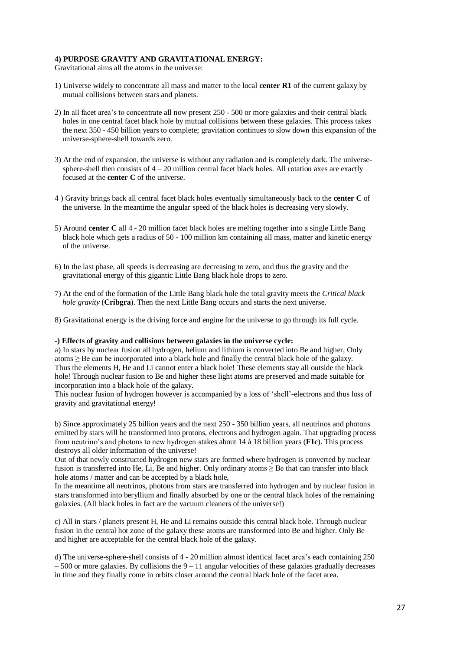#### **4) PURPOSE GRAVITY AND GRAVITATIONAL ENERGY:**

Gravitational aims all the atoms in the universe:

- 1) Universe widely to concentrate all mass and matter to the local **center R1** of the current galaxy by mutual collisions between stars and planets.
- 2) In all facet area's to concentrate all now present 250 500 or more galaxies and their central black holes in one central facet black hole by mutual collisions between these galaxies. This process takes the next 350 - 450 billion years to complete; gravitation continues to slow down this expansion of the universe-sphere-shell towards zero.
- 3) At the end of expansion, the universe is without any radiation and is completely dark. The universe sphere-shell then consists of  $4 - 20$  million central facet black holes. All rotation axes are exactly focused at the **center C** of the universe.
- 4 ) Gravity brings back all central facet black holes eventually simultaneously back to the **center C** of the universe. In the meantime the angular speed of the black holes is decreasing very slowly.
- 5) Around **center C** all 4 20 million facet black holes are melting together into a single Little Bang black hole which gets a radius of 50 - 100 million km containing all mass, matter and kinetic energy of the universe.
- 6) In the last phase, all speeds is decreasing are decreasing to zero, and thus the gravity and the gravitational energy of this gigantic Little Bang black hole drops to zero.
- 7) At the end of the formation of the Little Bang black hole the total gravity meets the *Critical black hole gravity* (**Cribgra**). Then the next Little Bang occurs and starts the next universe.
- 8) Gravitational energy is the driving force and engine for the universe to go through its full cycle.

#### **-) Effects of gravity and collisions between galaxies in the universe cycle:**

a) In stars by nuclear fusion all hydrogen, helium and lithium is converted into Be and higher, Only  $atoms \geq Be$  can be incorporated into a black hole and finally the central black hole of the galaxy. Thus the elements H, He and Li cannot enter a black hole! These elements stay all outside the black hole! Through nuclear fusion to Be and higher these light atoms are preserved and made suitable for incorporation into a black hole of the galaxy.

This nuclear fusion of hydrogen however is accompanied by a loss of 'shell'-electrons and thus loss of gravity and gravitational energy!

b) Since approximately 25 billion years and the next 250 - 350 billion years, all neutrinos and photons emitted by stars will be transformed into protons, electrons and hydrogen again. That upgrading process from neutrino's and photons to new hydrogen stakes about 14 à 18 billion years (**F1c**). This process destroys all older information of the universe!

Out of that newly constructed hydrogen new stars are formed where hydrogen is converted by nuclear fusion is transferred into He, Li, Be and higher. Only ordinary atoms  $\geq$  Be that can transfer into black hole atoms / matter and can be accepted by a black hole,

In the meantime all neutrinos, photons from stars are transferred into hydrogen and by nuclear fusion in stars transformed into beryllium and finally absorbed by one or the central black holes of the remaining galaxies. (All black holes in fact are the vacuum cleaners of the universe!)

c) All in stars / planets present H, He and Li remains outside this central black hole. Through nuclear fusion in the central hot zone of the galaxy these atoms are transformed into Be and higher. Only Be and higher are acceptable for the central black hole of the galaxy.

d) The universe-sphere-shell consists of 4 - 20 million almost identical facet area's each containing 250  $-500$  or more galaxies. By collisions the  $9 - 11$  angular velocities of these galaxies gradually decreases in time and they finally come in orbits closer around the central black hole of the facet area.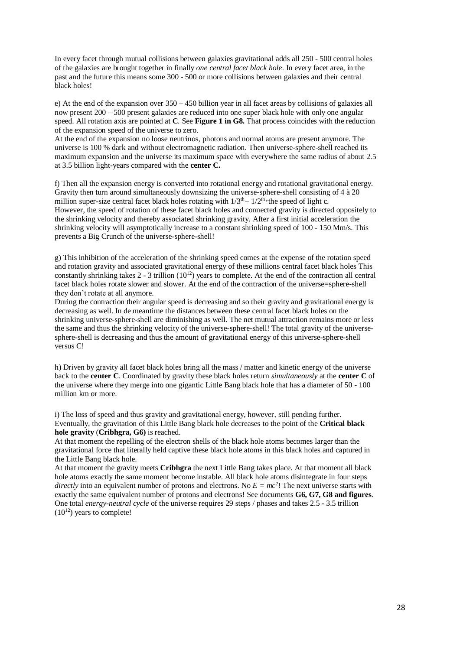In every facet through mutual collisions between galaxies gravitational adds all 250 - 500 central holes of the galaxies are brought together in finally *one central facet black hole*. In every facet area, in the past and the future this means some 300 - 500 or more collisions between galaxies and their central black holes!

e) At the end of the expansion over 350 – 450 billion year in all facet areas by collisions of galaxies all now present 200 – 500 present galaxies are reduced into one super black hole with only one angular speed. All rotation axis are pointed at **C**. See **Figure 1 in G8.** That process coincides with the reduction of the expansion speed of the universe to zero.

At the end of the expansion no loose neutrinos, photons and normal atoms are present anymore. The universe is 100 % dark and without electromagnetic radiation. Then universe-sphere-shell reached its maximum expansion and the universe its maximum space with everywhere the same radius of about 2.5 at 3.5 billion light-years compared with the **center C.**

f) Then all the expansion energy is converted into rotational energy and rotational gravitational energy. Gravity then turn around simultaneously downsizing the universe-sphere-shell consisting of 4 à 20 million super-size central facet black holes rotating with  $1/3<sup>th</sup> - 1/2<sup>th</sup>$  the speed of light c. However, the speed of rotation of these facet black holes and connected gravity is directed oppositely to the shrinking velocity and thereby associated shrinking gravity. After a first initial acceleration the shrinking velocity will asymptotically increase to a constant shrinking speed of 100 - 150 Mm/s. This prevents a Big Crunch of the universe-sphere-shell!

g) This inhibition of the acceleration of the shrinking speed comes at the expense of the rotation speed and rotation gravity and associated gravitational energy of these millions central facet black holes This constantly shrinking takes  $2 - 3$  trillion  $(10^{12})$  years to complete. At the end of the contraction all central facet black holes rotate slower and slower. At the end of the contraction of the universe=sphere-shell they don't rotate at all anymore.

During the contraction their angular speed is decreasing and so their gravity and gravitational energy is decreasing as well. In de meantime the distances between these central facet black holes on the shrinking universe-sphere-shell are diminishing as well. The net mutual attraction remains more or less the same and thus the shrinking velocity of the universe-sphere-shell! The total gravity of the universesphere-shell is decreasing and thus the amount of gravitational energy of this universe-sphere-shell versus C!

h) Driven by gravity all facet black holes bring all the mass / matter and kinetic energy of the universe back to the **center C**. Coordinated by gravity these black holes return *simultaneously* at the **center C** of the universe where they merge into one gigantic Little Bang black hole that has a diameter of 50 - 100 million km or more.

i) The loss of speed and thus gravity and gravitational energy, however, still pending further. Eventually, the gravitation of this Little Bang black hole decreases to the point of the **Critical black hole gravity** (**Cribhgra, G6)** is reached.

At that moment the repelling of the electron shells of the black hole atoms becomes larger than the gravitational force that literally held captive these black hole atoms in this black holes and captured in the Little Bang black hole.

At that moment the gravity meets **Cribhgra** the next Little Bang takes place. At that moment all black hole atoms exactly the same moment become instable. All black hole atoms disintegrate in four steps *directly* into an equivalent number of protons and electrons. No  $E = mc^2$ ! The next universe starts with exactly the same equivalent number of protons and electrons! See documents **G6, G7, G8 and figures**. One total *energy-neutral cycle* of the universe requires 29 steps / phases and takes 2.5 - 3.5 trillion  $(10^{12})$  years to complete!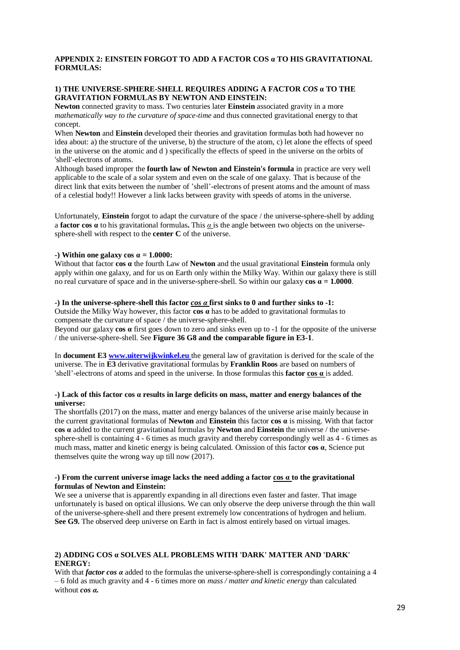## **APPENDIX 2: EINSTEIN FORGOT TO ADD A FACTOR COS α TO HIS GRAVITATIONAL FORMULAS:**

# **1) THE UNIVERSE-SPHERE-SHELL REQUIRES ADDING A FACTOR** *COS* **α TO THE GRAVITATION FORMULAS BY NEWTON AND EINSTEIN:**

**Newton** connected gravity to mass. Two centuries later **Einstein** associated gravity in a more *mathematically way to the curvature of space-time* and thus connected gravitational energy to that concept.

When **Newton** and **Einstein** developed their theories and gravitation formulas both had however no idea about: a) the structure of the universe, b) the structure of the atom, c) let alone the effects of speed in the universe on the atomic and d ) specifically the effects of speed in the universe on the orbits of 'shell'-electrons of atoms.

Although based improper the **fourth law of Newton and Einstein's formula** in practice are very well applicable to the scale of a solar system and even on the scale of one galaxy. That is because of the direct link that exits between the number of 'shell'-electrons of present atoms and the amount of mass of a celestial body!! However a link lacks between gravity with speeds of atoms in the universe.

Unfortunately, **Einstein** forgot to adapt the curvature of the space / the universe-sphere-shell by adding a **factor cos α** to his gravitational formulas**.** This *α* is the angle between two objects on the universesphere-shell with respect to the **center C** of the universe.

## **-**) Within one galaxy cos  $\alpha = 1.0000$ :

Without that factor **cos α** the fourth Law of **Newton** and the usual gravitational **Einstein** formula only apply within one galaxy, and for us on Earth only within the Milky Way. Within our galaxy there is still no real curvature of space and in the universe-sphere-shell. So within our galaxy  $\cos \alpha = 1.0000$ .

#### **-) In the universe-sphere-shell this factor** *cos α* **first sinks to 0 and further sinks to -1:**

Outside the Milky Way however, this factor **cos α** has to be added to gravitational formulas to compensate the curvature of space / the universe-sphere-shell.

Beyond our galaxy **cos α** first goes down to zero and sinks even up to -1 for the opposite of the universe / the universe-sphere-shell. See **Figure 36 G8 and the comparable figure in E3-1**.

In **document E3 [www.uiterwijkwinkel.eu](https://translate.google.com/translate?hl=nl&prev=_t&sl=nl&tl=en&u=http://www.uiterwijkwinkel.eu)** the general law of gravitation is derived for the scale of the universe. The in **E3** derivative gravitational formulas by **Franklin Roos** are based on numbers of 'shell'-electrons of atoms and speed in the universe. In those formulas this **factor cos α** is added.

#### **-) Lack of this factor cos α results in large deficits on mass, matter and energy balances of the universe:**

The shortfalls (2017) on the mass, matter and energy balances of the universe arise mainly because in the current gravitational formulas of **Newton** and **Einstein** this factor **cos α** is missing. With that factor **cos α** added to the current gravitational formulas by **Newton** and **Einstein** the universe / the universesphere-shell is containing  $\frac{3}{4}$  - 6 times as much gravity and thereby correspondingly well as 4 - 6 times as much mass, matter and kinetic energy is being calculated. Omission of this factor **cos α**, Science put themselves quite the wrong way up till now (2017).

## **-) From the current universe image lacks the need adding a factor cos α to the gravitational formulas of Newton and Einstein:**

We see a universe that is apparently expanding in all directions even faster and faster. That image unfortunately is based on optical illusions. We can only observe the deep universe through the thin wall of the universe-sphere-shell and there present extremely low concentrations of hydrogen and helium. **See G9.** The observed deep universe on Earth in fact is almost entirely based on virtual images.

## **2) ADDING COS α SOLVES ALL PROBLEMS WITH 'DARK' MATTER AND 'DARK' ENERGY:**

With that *factor cos α* added to the formulas the universe-sphere-shell is correspondingly containing a 4 – 6 fold as much gravity and 4 - 6 times more on *mass / matter and kinetic energy* than calculated without *cos α.*